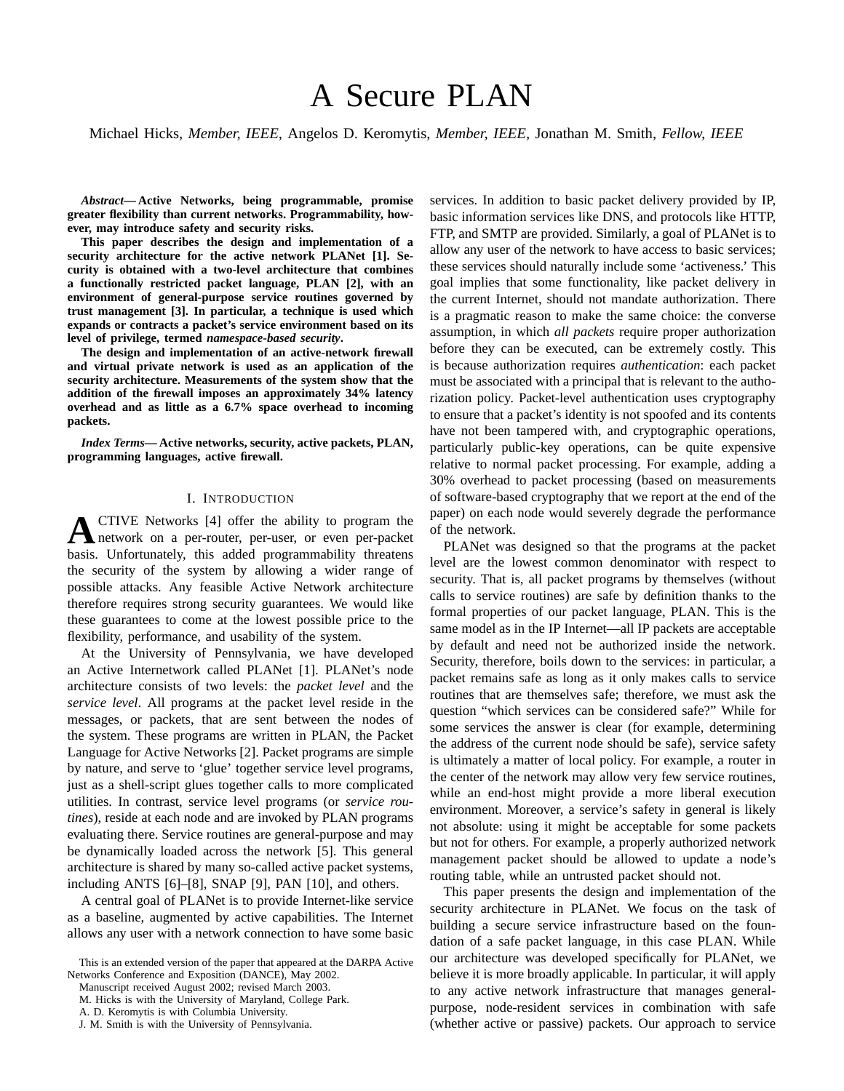## A Secure PLAN

Michael Hicks, *Member, IEEE,* Angelos D. Keromytis, *Member, IEEE,* Jonathan M. Smith, *Fellow, IEEE*

*Abstract***— Active Networks, being programmable, promise greater flexibility than current networks. Programmability, however, may introduce safety and security risks.**

**This paper describes the design and implementation of a security architecture for the active network PLANet [1]. Security is obtained with a two-level architecture that combines a functionally restricted packet language, PLAN [2], with an environment of general-purpose service routines governed by trust management [3]. In particular, a technique is used which expands or contracts a packet's service environment based on its level of privilege, termed** *namespace-based security***.**

**The design and implementation of an active-network firewall and virtual private network is used as an application of the security architecture. Measurements of the system show that the addition of the firewall imposes an approximately 34% latency overhead and as little as a 6.7% space overhead to incoming packets.**

*Index Terms***— Active networks, security, active packets, PLAN, programming languages, active firewall.**

### I. INTRODUCTION

**A** CTIVE Networks [4] offer the ability to program the network on a per-router, per-user, or even per-packet basis. Unfortunately, this added programmability threatens CTIVE Networks [4] offer the ability to program the network on a per-router, per-user, or even per-packet the security of the system by allowing a wider range of possible attacks. Any feasible Active Network architecture therefore requires strong security guarantees. We would like these guarantees to come at the lowest possible price to the flexibility, performance, and usability of the system.

At the University of Pennsylvania, we have developed an Active Internetwork called PLANet [1]. PLANet's node architecture consists of two levels: the *packet level* and the *service level*. All programs at the packet level reside in the messages, or packets, that are sent between the nodes of the system. These programs are written in PLAN, the Packet Language for Active Networks [2]. Packet programs are simple by nature, and serve to 'glue' together service level programs, just as a shell-script glues together calls to more complicated utilities. In contrast, service level programs (or *service routines*), reside at each node and are invoked by PLAN programs evaluating there. Service routines are general-purpose and may be dynamically loaded across the network [5]. This general architecture is shared by many so-called active packet systems, including ANTS [6]–[8], SNAP [9], PAN [10], and others.

A central goal of PLANet is to provide Internet-like service as a baseline, augmented by active capabilities. The Internet allows any user with a network connection to have some basic

Manuscript received August 2002; revised March 2003.

services. In addition to basic packet delivery provided by IP, basic information services like DNS, and protocols like HTTP, FTP, and SMTP are provided. Similarly, a goal of PLANet is to allow any user of the network to have access to basic services; these services should naturally include some 'activeness.' This goal implies that some functionality, like packet delivery in the current Internet, should not mandate authorization. There is a pragmatic reason to make the same choice: the converse assumption, in which *all packets* require proper authorization before they can be executed, can be extremely costly. This is because authorization requires *authentication*: each packet must be associated with a principal that is relevant to the authorization policy. Packet-level authentication uses cryptography to ensure that a packet's identity is not spoofed and its contents have not been tampered with, and cryptographic operations, particularly public-key operations, can be quite expensive relative to normal packet processing. For example, adding a 30% overhead to packet processing (based on measurements of software-based cryptography that we report at the end of the paper) on each node would severely degrade the performance of the network.

PLANet was designed so that the programs at the packet level are the lowest common denominator with respect to security. That is, all packet programs by themselves (without calls to service routines) are safe by definition thanks to the formal properties of our packet language, PLAN. This is the same model as in the IP Internet—all IP packets are acceptable by default and need not be authorized inside the network. Security, therefore, boils down to the services: in particular, a packet remains safe as long as it only makes calls to service routines that are themselves safe; therefore, we must ask the question "which services can be considered safe?" While for some services the answer is clear (for example, determining the address of the current node should be safe), service safety is ultimately a matter of local policy. For example, a router in the center of the network may allow very few service routines, while an end-host might provide a more liberal execution environment. Moreover, a service's safety in general is likely not absolute: using it might be acceptable for some packets but not for others. For example, a properly authorized network management packet should be allowed to update a node's routing table, while an untrusted packet should not.

This paper presents the design and implementation of the security architecture in PLANet. We focus on the task of building a secure service infrastructure based on the foundation of a safe packet language, in this case PLAN. While our architecture was developed specifically for PLANet, we believe it is more broadly applicable. In particular, it will apply to any active network infrastructure that manages generalpurpose, node-resident services in combination with safe (whether active or passive) packets. Our approach to service

This is an extended version of the paper that appeared at the DARPA Active Networks Conference and Exposition (DANCE), May 2002.

M. Hicks is with the University of Maryland, College Park.

A. D. Keromytis is with Columbia University.

J. M. Smith is with the University of Pennsylvania.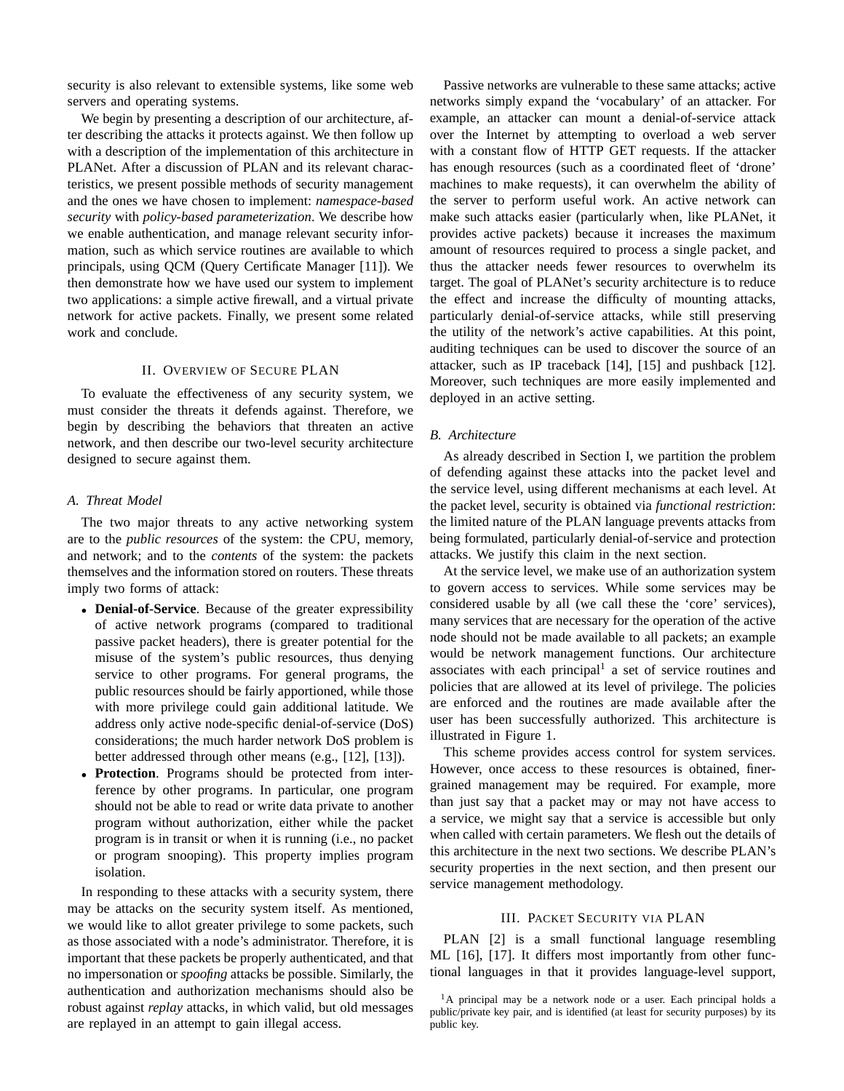security is also relevant to extensible systems, like some web servers and operating systems.

We begin by presenting a description of our architecture, after describing the attacks it protects against. We then follow up with a description of the implementation of this architecture in PLANet. After a discussion of PLAN and its relevant characteristics, we present possible methods of security management and the ones we have chosen to implement: *namespace-based security* with *policy-based parameterization*. We describe how we enable authentication, and manage relevant security information, such as which service routines are available to which principals, using QCM (Query Certificate Manager [11]). We then demonstrate how we have used our system to implement two applications: a simple active firewall, and a virtual private network for active packets. Finally, we present some related work and conclude.

### II. OVERVIEW OF SECURE PLAN

To evaluate the effectiveness of any security system, we must consider the threats it defends against. Therefore, we begin by describing the behaviors that threaten an active network, and then describe our two-level security architecture designed to secure against them.

### *A. Threat Model*

The two major threats to any active networking system are to the *public resources* of the system: the CPU, memory, and network; and to the *contents* of the system: the packets themselves and the information stored on routers. These threats imply two forms of attack:

- **Denial-of-Service**. Because of the greater expressibility of active network programs (compared to traditional passive packet headers), there is greater potential for the misuse of the system's public resources, thus denying service to other programs. For general programs, the public resources should be fairly apportioned, while those with more privilege could gain additional latitude. We address only active node-specific denial-of-service (DoS) considerations; the much harder network DoS problem is better addressed through other means (e.g., [12], [13]).
- **Protection**. Programs should be protected from interference by other programs. In particular, one program should not be able to read or write data private to another program without authorization, either while the packet program is in transit or when it is running (i.e., no packet or program snooping). This property implies program isolation.

In responding to these attacks with a security system, there may be attacks on the security system itself. As mentioned, we would like to allot greater privilege to some packets, such as those associated with a node's administrator. Therefore, it is important that these packets be properly authenticated, and that no impersonation or *spoofing* attacks be possible. Similarly, the authentication and authorization mechanisms should also be robust against *replay* attacks, in which valid, but old messages are replayed in an attempt to gain illegal access.

Passive networks are vulnerable to these same attacks; active networks simply expand the 'vocabulary' of an attacker. For example, an attacker can mount a denial-of-service attack over the Internet by attempting to overload a web server with a constant flow of HTTP GET requests. If the attacker has enough resources (such as a coordinated fleet of 'drone' machines to make requests), it can overwhelm the ability of the server to perform useful work. An active network can make such attacks easier (particularly when, like PLANet, it provides active packets) because it increases the maximum amount of resources required to process a single packet, and thus the attacker needs fewer resources to overwhelm its target. The goal of PLANet's security architecture is to reduce the effect and increase the difficulty of mounting attacks, particularly denial-of-service attacks, while still preserving the utility of the network's active capabilities. At this point, auditing techniques can be used to discover the source of an attacker, such as IP traceback [14], [15] and pushback [12]. Moreover, such techniques are more easily implemented and deployed in an active setting.

### *B. Architecture*

As already described in Section I, we partition the problem of defending against these attacks into the packet level and the service level, using different mechanisms at each level. At the packet level, security is obtained via *functional restriction*: the limited nature of the PLAN language prevents attacks from being formulated, particularly denial-of-service and protection attacks. We justify this claim in the next section.

At the service level, we make use of an authorization system to govern access to services. While some services may be considered usable by all (we call these the 'core' services), many services that are necessary for the operation of the active node should not be made available to all packets; an example would be network management functions. Our architecture associates with each principal<sup>1</sup> a set of service routines and policies that are allowed at its level of privilege. The policies are enforced and the routines are made available after the user has been successfully authorized. This architecture is illustrated in Figure 1.

This scheme provides access control for system services. However, once access to these resources is obtained, finergrained management may be required. For example, more than just say that a packet may or may not have access to a service, we might say that a service is accessible but only when called with certain parameters. We flesh out the details of this architecture in the next two sections. We describe PLAN's security properties in the next section, and then present our service management methodology.

### III. PACKET SECURITY VIA PLAN

PLAN [2] is a small functional language resembling ML [16], [17]. It differs most importantly from other functional languages in that it provides language-level support,

<sup>&</sup>lt;sup>1</sup>A principal may be a network node or a user. Each principal holds a public/private key pair, and is identified (at least for security purposes) by its public key.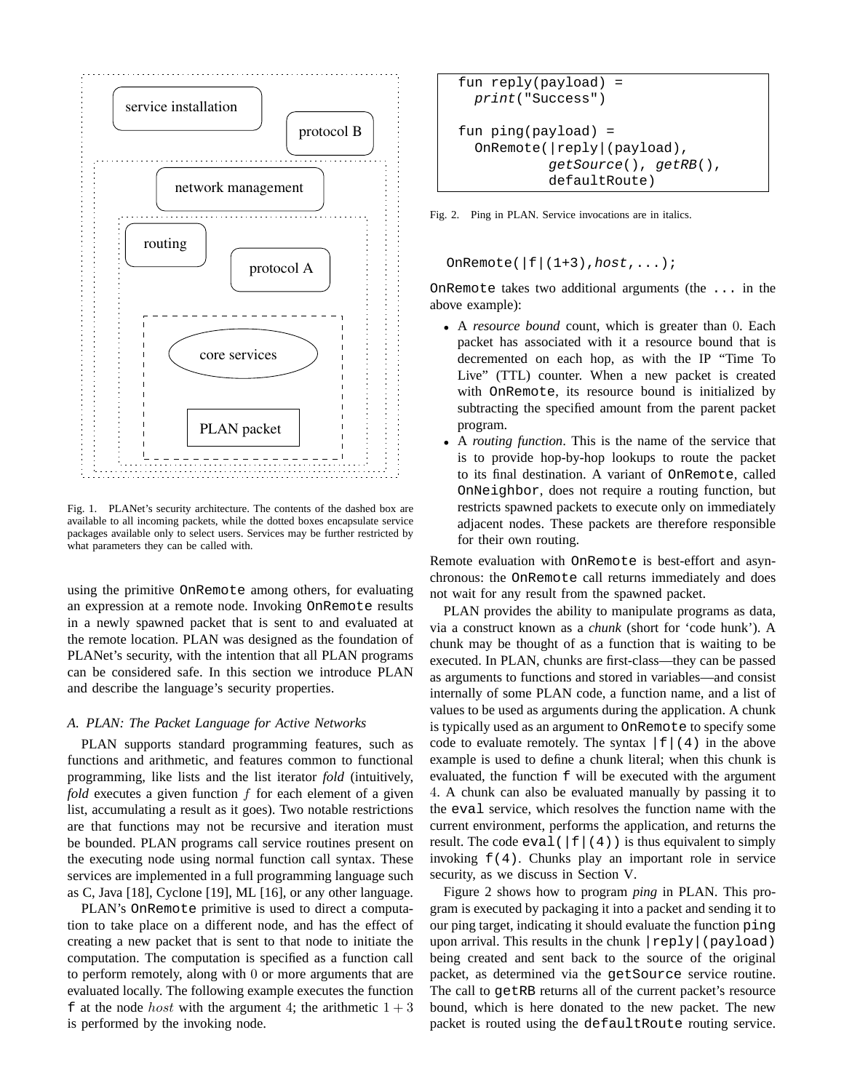

Fig. 1. PLANet's security architecture. The contents of the dashed box are available to all incoming packets, while the dotted boxes encapsulate service packages available only to select users. Services may be further restricted by what parameters they can be called with.

using the primitive OnRemote among others, for evaluating an expression at a remote node. Invoking OnRemote results in a newly spawned packet that is sent to and evaluated at the remote location. PLAN was designed as the foundation of PLANet's security, with the intention that all PLAN programs can be considered safe. In this section we introduce PLAN and describe the language's security properties.

### *A. PLAN: The Packet Language for Active Networks*

PLAN supports standard programming features, such as functions and arithmetic, and features common to functional programming, like lists and the list iterator *fold* (intuitively,  $fold$  executes a given function  $f$  for each element of a given list, accumulating a result as it goes). Two notable restrictions are that functions may not be recursive and iteration must be bounded. PLAN programs call service routines present on the executing node using normal function call syntax. These services are implemented in a full programming language such as C, Java [18], Cyclone [19], ML [16], or any other language.

PLAN's OnRemote primitive is used to direct a computation to take place on a different node, and has the effect of creating a new packet that is sent to that node to initiate the computation. The computation is specified as a function call to perform remotely, along with 0 or more arguments that are evaluated locally. The following example executes the function f at the node *host* with the argument 4; the arithmetic  $1 + 3$ is performed by the invoking node.

```
fun reply(payload)
 print("Success")
fun ping(payload) =
  OnRemote(|reply|(payload),
           getSource(), getRB(),
           defaultRoute)
```
Fig. 2. Ping in PLAN. Service invocations are in italics.

OnRemote( $|f|(1+3)$ , host,...);

OnRemote takes two additional arguments (the ... in the above example):

- A *resource bound* count, which is greater than 0. Each packet has associated with it a resource bound that is decremented on each hop, as with the IP "Time To Live" (TTL) counter. When a new packet is created with OnRemote, its resource bound is initialized by subtracting the specified amount from the parent packet program.
- A *routing function*. This is the name of the service that is to provide hop-by-hop lookups to route the packet to its final destination. A variant of OnRemote, called OnNeighbor, does not require a routing function, but restricts spawned packets to execute only on immediately adjacent nodes. These packets are therefore responsible for their own routing.

Remote evaluation with OnRemote is best-effort and asynchronous: the OnRemote call returns immediately and does not wait for any result from the spawned packet.

PLAN provides the ability to manipulate programs as data, via a construct known as a *chunk* (short for 'code hunk'). A chunk may be thought of as a function that is waiting to be executed. In PLAN, chunks are first-class—they can be passed as arguments to functions and stored in variables—and consist internally of some PLAN code, a function name, and a list of values to be used as arguments during the application. A chunk is typically used as an argument to OnRemote to specify some code to evaluate remotely. The syntax  $|f|(4)$  in the above example is used to define a chunk literal; when this chunk is evaluated, the function f will be executed with the argument 4. A chunk can also be evaluated manually by passing it to the eval service, which resolves the function name with the current environment, performs the application, and returns the result. The code eval ( $|f|(4)$ ) is thus equivalent to simply invoking f(4). Chunks play an important role in service security, as we discuss in Section V.

Figure 2 shows how to program *ping* in PLAN. This program is executed by packaging it into a packet and sending it to our ping target, indicating it should evaluate the function ping upon arrival. This results in the chunk  $|{\text{reply}}|$  (payload) being created and sent back to the source of the original packet, as determined via the getSource service routine. The call to getRB returns all of the current packet's resource bound, which is here donated to the new packet. The new packet is routed using the defaultRoute routing service.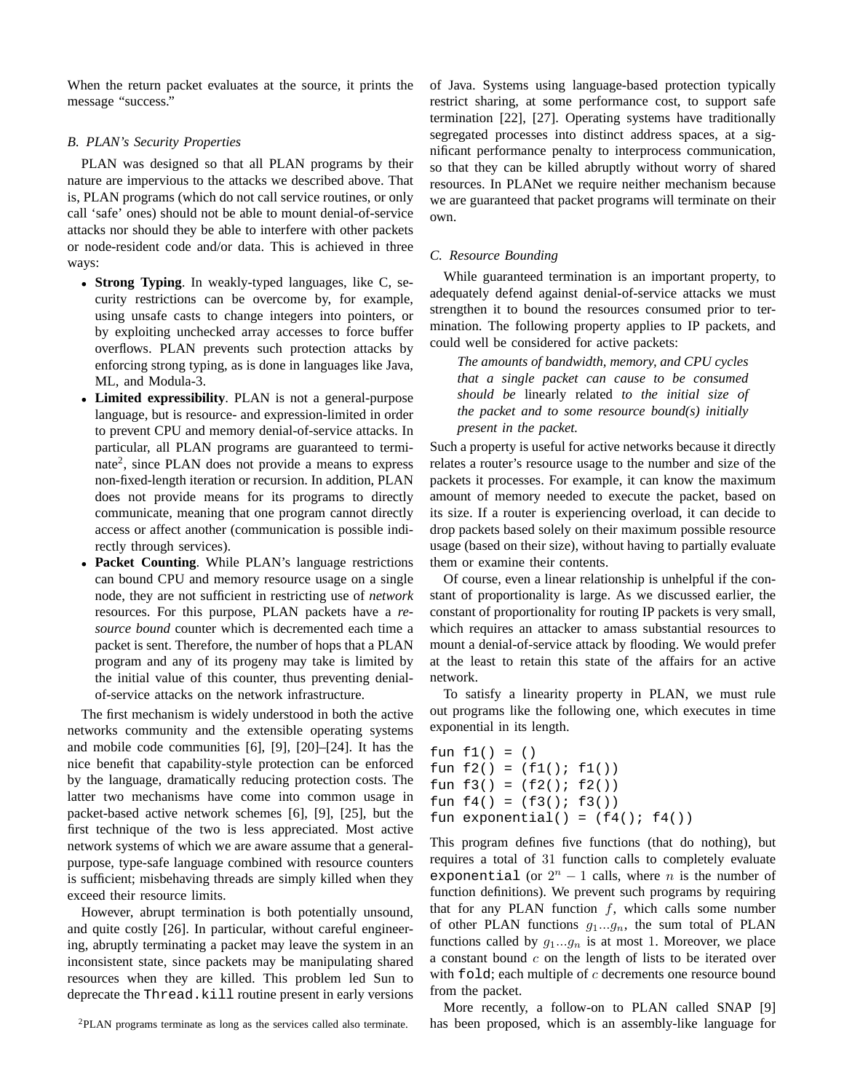When the return packet evaluates at the source, it prints the message "success."

### *B. PLAN's Security Properties*

PLAN was designed so that all PLAN programs by their nature are impervious to the attacks we described above. That is, PLAN programs (which do not call service routines, or only call 'safe' ones) should not be able to mount denial-of-service attacks nor should they be able to interfere with other packets or node-resident code and/or data. This is achieved in three ways:

- **Strong Typing**. In weakly-typed languages, like C, security restrictions can be overcome by, for example, using unsafe casts to change integers into pointers, or by exploiting unchecked array accesses to force buffer overflows. PLAN prevents such protection attacks by enforcing strong typing, as is done in languages like Java, ML, and Modula-3.
- **Limited expressibility**. PLAN is not a general-purpose language, but is resource- and expression-limited in order to prevent CPU and memory denial-of-service attacks. In particular, all PLAN programs are guaranteed to terminate<sup>2</sup>, since PLAN does not provide a means to express non-fixed-length iteration or recursion. In addition, PLAN does not provide means for its programs to directly communicate, meaning that one program cannot directly access or affect another (communication is possible indirectly through services).
- **Packet Counting**. While PLAN's language restrictions can bound CPU and memory resource usage on a single node, they are not sufficient in restricting use of *network* resources. For this purpose, PLAN packets have a *resource bound* counter which is decremented each time a packet is sent. Therefore, the number of hops that a PLAN program and any of its progeny may take is limited by the initial value of this counter, thus preventing denialof-service attacks on the network infrastructure.

The first mechanism is widely understood in both the active networks community and the extensible operating systems and mobile code communities [6], [9], [20]–[24]. It has the nice benefit that capability-style protection can be enforced by the language, dramatically reducing protection costs. The latter two mechanisms have come into common usage in packet-based active network schemes [6], [9], [25], but the first technique of the two is less appreciated. Most active network systems of which we are aware assume that a generalpurpose, type-safe language combined with resource counters is sufficient; misbehaving threads are simply killed when they exceed their resource limits.

However, abrupt termination is both potentially unsound, and quite costly [26]. In particular, without careful engineering, abruptly terminating a packet may leave the system in an inconsistent state, since packets may be manipulating shared resources when they are killed. This problem led Sun to deprecate the Thread.kill routine present in early versions

<sup>2</sup>PLAN programs terminate as long as the services called also terminate.

of Java. Systems using language-based protection typically restrict sharing, at some performance cost, to support safe termination [22], [27]. Operating systems have traditionally segregated processes into distinct address spaces, at a significant performance penalty to interprocess communication, so that they can be killed abruptly without worry of shared resources. In PLANet we require neither mechanism because we are guaranteed that packet programs will terminate on their own.

### *C. Resource Bounding*

While guaranteed termination is an important property, to adequately defend against denial-of-service attacks we must strengthen it to bound the resources consumed prior to termination. The following property applies to IP packets, and could well be considered for active packets:

*The amounts of bandwidth, memory, and CPU cycles that a single packet can cause to be consumed should be* linearly related *to the initial size of the packet and to some resource bound(s) initially present in the packet.*

Such a property is useful for active networks because it directly relates a router's resource usage to the number and size of the packets it processes. For example, it can know the maximum amount of memory needed to execute the packet, based on its size. If a router is experiencing overload, it can decide to drop packets based solely on their maximum possible resource usage (based on their size), without having to partially evaluate them or examine their contents.

Of course, even a linear relationship is unhelpful if the constant of proportionality is large. As we discussed earlier, the constant of proportionality for routing IP packets is very small, which requires an attacker to amass substantial resources to mount a denial-of-service attack by flooding. We would prefer at the least to retain this state of the affairs for an active network.

To satisfy a linearity property in PLAN, we must rule out programs like the following one, which executes in time exponential in its length.

```
fun f1() = ()fun f2() = (f1(); f1())fun f3() = (f2(); f2()fun f(4) = (f(3)); f(3)fun exponential() = (f4(); f4())
```
This program defines five functions (that do nothing), but requires a total of 31 function calls to completely evaluate exponential (or  $2^n - 1$  calls, where *n* is the number of function definitions). We prevent such programs by requiring that for any PLAN function  $f$ , which calls some number of other PLAN functions  $g_1...g_n$ , the sum total of PLAN functions called by  $g_1...g_n$  is at most 1. Moreover, we place a constant bound  $c$  on the length of lists to be iterated over with  $f \circ \text{Id}$ ; each multiple of c decrements one resource bound from the packet.

More recently, a follow-on to PLAN called SNAP [9] has been proposed, which is an assembly-like language for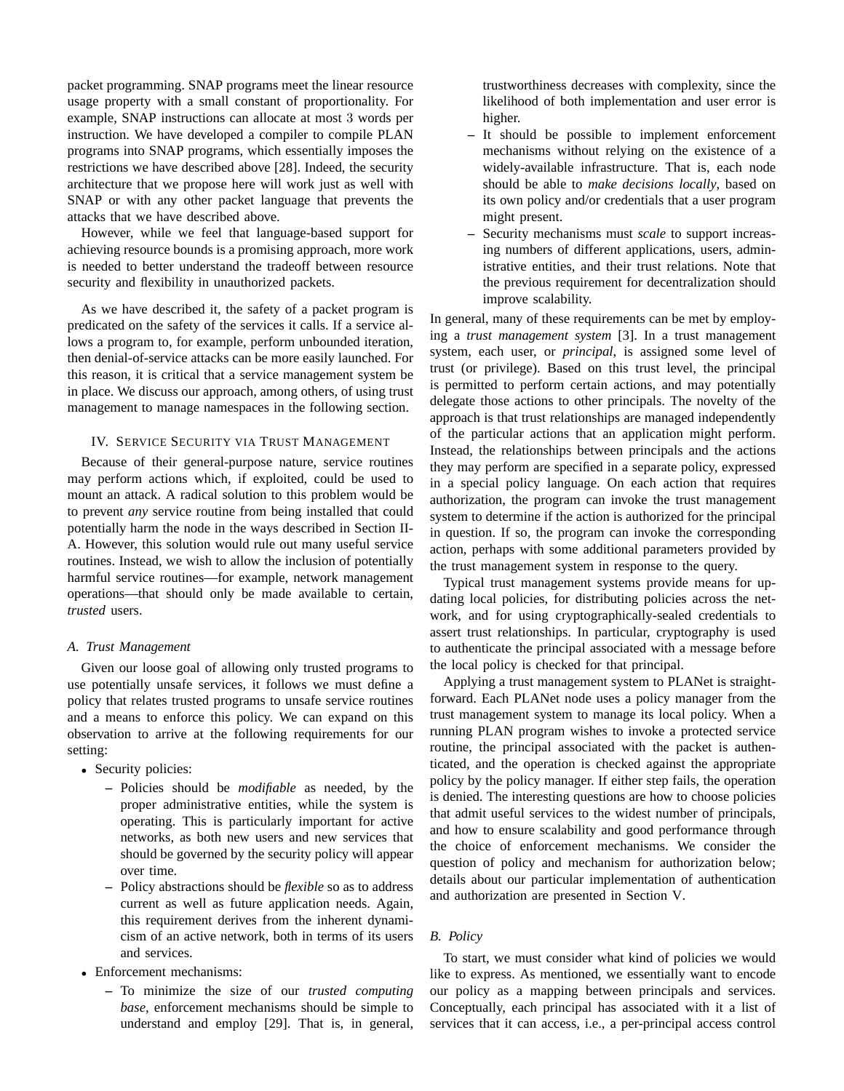packet programming. SNAP programs meet the linear resource usage property with a small constant of proportionality. For example, SNAP instructions can allocate at most 3 words per instruction. We have developed a compiler to compile PLAN programs into SNAP programs, which essentially imposes the restrictions we have described above [28]. Indeed, the security architecture that we propose here will work just as well with SNAP or with any other packet language that prevents the attacks that we have described above.

However, while we feel that language-based support for achieving resource bounds is a promising approach, more work is needed to better understand the tradeoff between resource security and flexibility in unauthorized packets.

As we have described it, the safety of a packet program is predicated on the safety of the services it calls. If a service allows a program to, for example, perform unbounded iteration, then denial-of-service attacks can be more easily launched. For this reason, it is critical that a service management system be in place. We discuss our approach, among others, of using trust management to manage namespaces in the following section.

### IV. SERVICE SECURITY VIA TRUST MANAGEMENT

Because of their general-purpose nature, service routines may perform actions which, if exploited, could be used to mount an attack. A radical solution to this problem would be to prevent *any* service routine from being installed that could potentially harm the node in the ways described in Section II-A. However, this solution would rule out many useful service routines. Instead, we wish to allow the inclusion of potentially harmful service routines—for example, network management operations—that should only be made available to certain, *trusted* users.

### *A. Trust Management*

Given our loose goal of allowing only trusted programs to use potentially unsafe services, it follows we must define a policy that relates trusted programs to unsafe service routines and a means to enforce this policy. We can expand on this observation to arrive at the following requirements for our setting:

- Security policies:
	- **–** Policies should be *modifiable* as needed, by the proper administrative entities, while the system is operating. This is particularly important for active networks, as both new users and new services that should be governed by the security policy will appear over time.
	- **–** Policy abstractions should be *flexible* so as to address current as well as future application needs. Again, this requirement derives from the inherent dynamicism of an active network, both in terms of its users and services.
- Enforcement mechanisms:
	- **–** To minimize the size of our *trusted computing base*, enforcement mechanisms should be simple to understand and employ [29]. That is, in general,

trustworthiness decreases with complexity, since the likelihood of both implementation and user error is higher.

- **–** It should be possible to implement enforcement mechanisms without relying on the existence of a widely-available infrastructure. That is, each node should be able to *make decisions locally*, based on its own policy and/or credentials that a user program might present.
- **–** Security mechanisms must *scale* to support increasing numbers of different applications, users, administrative entities, and their trust relations. Note that the previous requirement for decentralization should improve scalability.

In general, many of these requirements can be met by employing a *trust management system* [3]. In a trust management system, each user, or *principal*, is assigned some level of trust (or privilege). Based on this trust level, the principal is permitted to perform certain actions, and may potentially delegate those actions to other principals. The novelty of the approach is that trust relationships are managed independently of the particular actions that an application might perform. Instead, the relationships between principals and the actions they may perform are specified in a separate policy, expressed in a special policy language. On each action that requires authorization, the program can invoke the trust management system to determine if the action is authorized for the principal in question. If so, the program can invoke the corresponding action, perhaps with some additional parameters provided by the trust management system in response to the query.

Typical trust management systems provide means for updating local policies, for distributing policies across the network, and for using cryptographically-sealed credentials to assert trust relationships. In particular, cryptography is used to authenticate the principal associated with a message before the local policy is checked for that principal.

Applying a trust management system to PLANet is straightforward. Each PLANet node uses a policy manager from the trust management system to manage its local policy. When a running PLAN program wishes to invoke a protected service routine, the principal associated with the packet is authenticated, and the operation is checked against the appropriate policy by the policy manager. If either step fails, the operation is denied. The interesting questions are how to choose policies that admit useful services to the widest number of principals, and how to ensure scalability and good performance through the choice of enforcement mechanisms. We consider the question of policy and mechanism for authorization below; details about our particular implementation of authentication and authorization are presented in Section V.

### *B. Policy*

To start, we must consider what kind of policies we would like to express. As mentioned, we essentially want to encode our policy as a mapping between principals and services. Conceptually, each principal has associated with it a list of services that it can access, i.e., a per-principal access control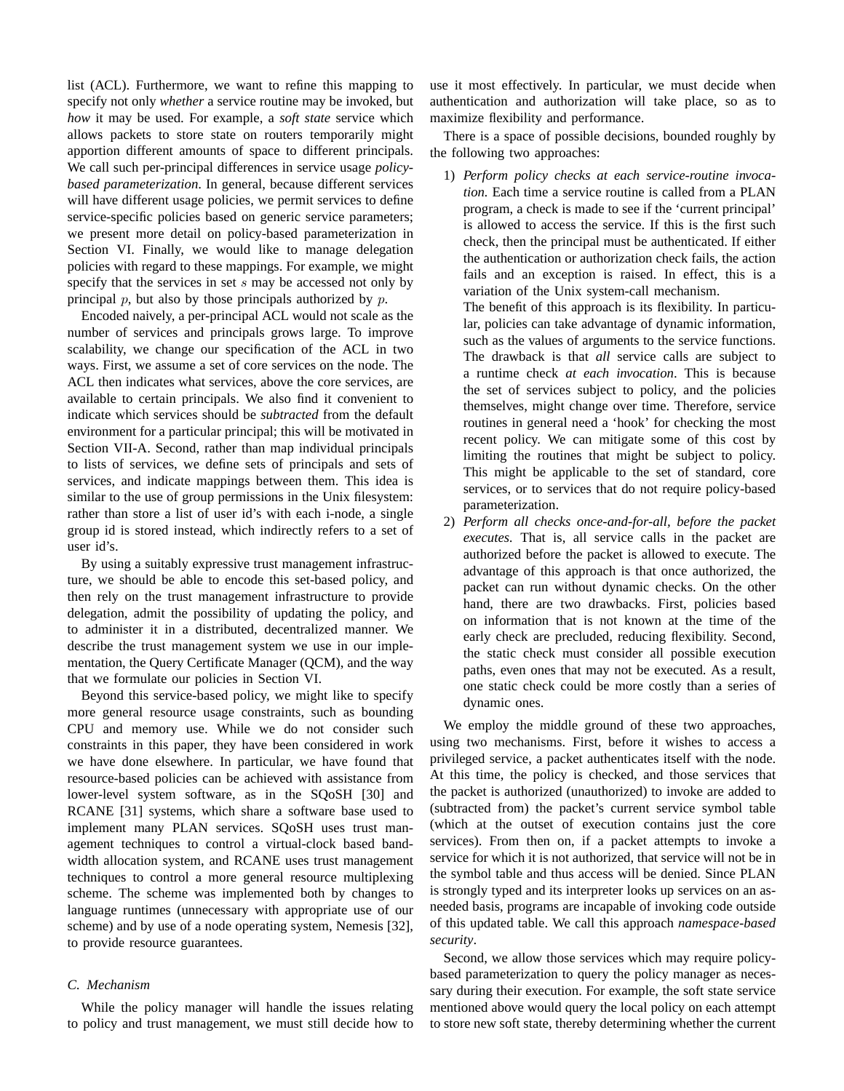list (ACL). Furthermore, we want to refine this mapping to specify not only *whether* a service routine may be invoked, but *how* it may be used. For example, a *soft state* service which allows packets to store state on routers temporarily might apportion different amounts of space to different principals. We call such per-principal differences in service usage *policybased parameterization*. In general, because different services will have different usage policies, we permit services to define service-specific policies based on generic service parameters; we present more detail on policy-based parameterization in Section VI. Finally, we would like to manage delegation policies with regard to these mappings. For example, we might specify that the services in set s may be accessed not only by principal  $p$ , but also by those principals authorized by  $p$ .

Encoded naively, a per-principal ACL would not scale as the number of services and principals grows large. To improve scalability, we change our specification of the ACL in two ways. First, we assume a set of core services on the node. The ACL then indicates what services, above the core services, are available to certain principals. We also find it convenient to indicate which services should be *subtracted* from the default environment for a particular principal; this will be motivated in Section VII-A. Second, rather than map individual principals to lists of services, we define sets of principals and sets of services, and indicate mappings between them. This idea is similar to the use of group permissions in the Unix filesystem: rather than store a list of user id's with each i-node, a single group id is stored instead, which indirectly refers to a set of user id's.

By using a suitably expressive trust management infrastructure, we should be able to encode this set-based policy, and then rely on the trust management infrastructure to provide delegation, admit the possibility of updating the policy, and to administer it in a distributed, decentralized manner. We describe the trust management system we use in our implementation, the Query Certificate Manager (QCM), and the way that we formulate our policies in Section VI.

Beyond this service-based policy, we might like to specify more general resource usage constraints, such as bounding CPU and memory use. While we do not consider such constraints in this paper, they have been considered in work we have done elsewhere. In particular, we have found that resource-based policies can be achieved with assistance from lower-level system software, as in the SQoSH [30] and RCANE [31] systems, which share a software base used to implement many PLAN services. SQoSH uses trust management techniques to control a virtual-clock based bandwidth allocation system, and RCANE uses trust management techniques to control a more general resource multiplexing scheme. The scheme was implemented both by changes to language runtimes (unnecessary with appropriate use of our scheme) and by use of a node operating system, Nemesis [32], to provide resource guarantees.

### *C. Mechanism*

While the policy manager will handle the issues relating to policy and trust management, we must still decide how to use it most effectively. In particular, we must decide when authentication and authorization will take place, so as to maximize flexibility and performance.

There is a space of possible decisions, bounded roughly by the following two approaches:

1) *Perform policy checks at each service-routine invocation.* Each time a service routine is called from a PLAN program, a check is made to see if the 'current principal' is allowed to access the service. If this is the first such check, then the principal must be authenticated. If either the authentication or authorization check fails, the action fails and an exception is raised. In effect, this is a variation of the Unix system-call mechanism.

The benefit of this approach is its flexibility. In particular, policies can take advantage of dynamic information, such as the values of arguments to the service functions. The drawback is that *all* service calls are subject to a runtime check *at each invocation*. This is because the set of services subject to policy, and the policies themselves, might change over time. Therefore, service routines in general need a 'hook' for checking the most recent policy. We can mitigate some of this cost by limiting the routines that might be subject to policy. This might be applicable to the set of standard, core services, or to services that do not require policy-based parameterization.

2) *Perform all checks once-and-for-all, before the packet executes.* That is, all service calls in the packet are authorized before the packet is allowed to execute. The advantage of this approach is that once authorized, the packet can run without dynamic checks. On the other hand, there are two drawbacks. First, policies based on information that is not known at the time of the early check are precluded, reducing flexibility. Second, the static check must consider all possible execution paths, even ones that may not be executed. As a result, one static check could be more costly than a series of dynamic ones.

We employ the middle ground of these two approaches, using two mechanisms. First, before it wishes to access a privileged service, a packet authenticates itself with the node. At this time, the policy is checked, and those services that the packet is authorized (unauthorized) to invoke are added to (subtracted from) the packet's current service symbol table (which at the outset of execution contains just the core services). From then on, if a packet attempts to invoke a service for which it is not authorized, that service will not be in the symbol table and thus access will be denied. Since PLAN is strongly typed and its interpreter looks up services on an asneeded basis, programs are incapable of invoking code outside of this updated table. We call this approach *namespace-based security*.

Second, we allow those services which may require policybased parameterization to query the policy manager as necessary during their execution. For example, the soft state service mentioned above would query the local policy on each attempt to store new soft state, thereby determining whether the current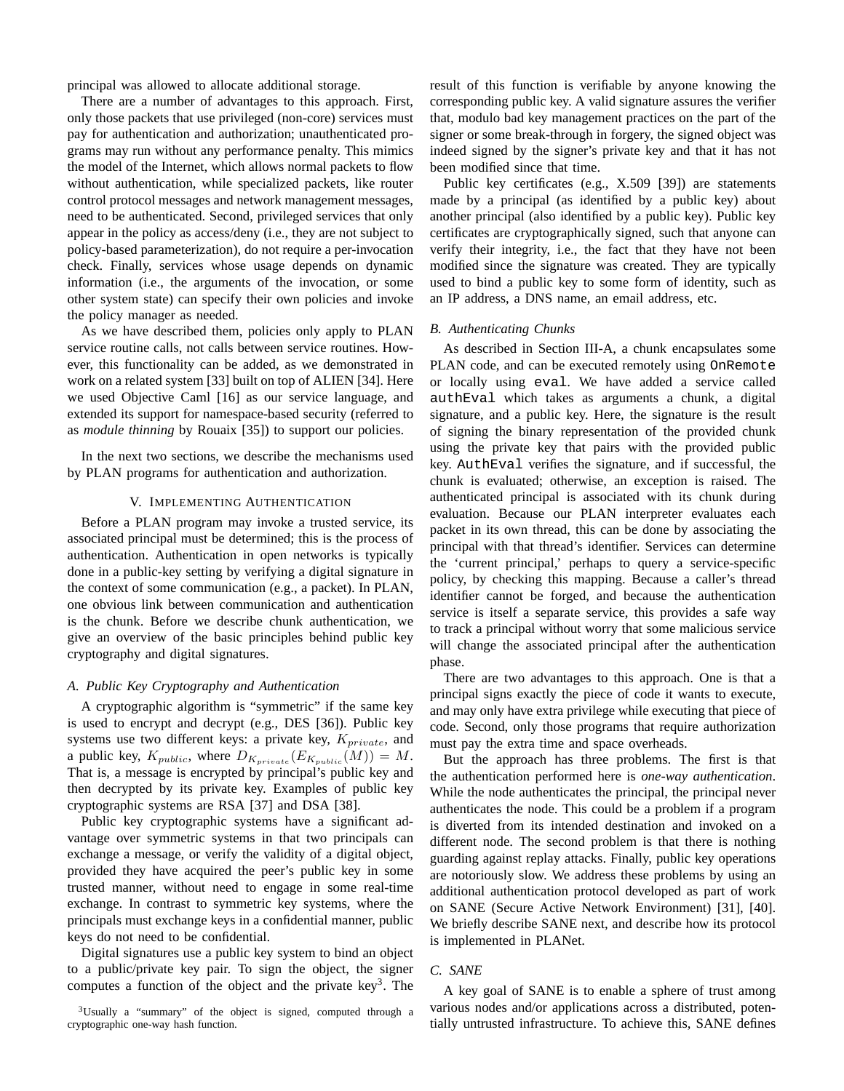principal was allowed to allocate additional storage.

There are a number of advantages to this approach. First, only those packets that use privileged (non-core) services must pay for authentication and authorization; unauthenticated programs may run without any performance penalty. This mimics the model of the Internet, which allows normal packets to flow without authentication, while specialized packets, like router control protocol messages and network management messages, need to be authenticated. Second, privileged services that only appear in the policy as access/deny (i.e., they are not subject to policy-based parameterization), do not require a per-invocation check. Finally, services whose usage depends on dynamic information (i.e., the arguments of the invocation, or some other system state) can specify their own policies and invoke the policy manager as needed.

As we have described them, policies only apply to PLAN service routine calls, not calls between service routines. However, this functionality can be added, as we demonstrated in work on a related system [33] built on top of ALIEN [34]. Here we used Objective Caml [16] as our service language, and extended its support for namespace-based security (referred to as *module thinning* by Rouaix [35]) to support our policies.

In the next two sections, we describe the mechanisms used by PLAN programs for authentication and authorization.

### V. IMPLEMENTING AUTHENTICATION

Before a PLAN program may invoke a trusted service, its associated principal must be determined; this is the process of authentication. Authentication in open networks is typically done in a public-key setting by verifying a digital signature in the context of some communication (e.g., a packet). In PLAN, one obvious link between communication and authentication is the chunk. Before we describe chunk authentication, we give an overview of the basic principles behind public key cryptography and digital signatures.

### *A. Public Key Cryptography and Authentication*

A cryptographic algorithm is "symmetric" if the same key is used to encrypt and decrypt (e.g., DES [36]). Public key systems use two different keys: a private key,  $K_{private}$ , and a public key,  $K_{public}$ , where  $D_{K_{private}}(E_{K_{public}}(M)) = M$ . That is, a message is encrypted by principal's public key and then decrypted by its private key. Examples of public key cryptographic systems are RSA [37] and DSA [38].

Public key cryptographic systems have a significant advantage over symmetric systems in that two principals can exchange a message, or verify the validity of a digital object, provided they have acquired the peer's public key in some trusted manner, without need to engage in some real-time exchange. In contrast to symmetric key systems, where the principals must exchange keys in a confidential manner, public keys do not need to be confidential.

Digital signatures use a public key system to bind an object to a public/private key pair. To sign the object, the signer computes a function of the object and the private key<sup>3</sup>. The result of this function is verifiable by anyone knowing the corresponding public key. A valid signature assures the verifier that, modulo bad key management practices on the part of the signer or some break-through in forgery, the signed object was indeed signed by the signer's private key and that it has not been modified since that time.

Public key certificates (e.g., X.509 [39]) are statements made by a principal (as identified by a public key) about another principal (also identified by a public key). Public key certificates are cryptographically signed, such that anyone can verify their integrity, i.e., the fact that they have not been modified since the signature was created. They are typically used to bind a public key to some form of identity, such as an IP address, a DNS name, an email address, etc.

### *B. Authenticating Chunks*

As described in Section III-A, a chunk encapsulates some PLAN code, and can be executed remotely using OnRemote or locally using eval. We have added a service called authEval which takes as arguments a chunk, a digital signature, and a public key. Here, the signature is the result of signing the binary representation of the provided chunk using the private key that pairs with the provided public key. AuthEval verifies the signature, and if successful, the chunk is evaluated; otherwise, an exception is raised. The authenticated principal is associated with its chunk during evaluation. Because our PLAN interpreter evaluates each packet in its own thread, this can be done by associating the principal with that thread's identifier. Services can determine the 'current principal,' perhaps to query a service-specific policy, by checking this mapping. Because a caller's thread identifier cannot be forged, and because the authentication service is itself a separate service, this provides a safe way to track a principal without worry that some malicious service will change the associated principal after the authentication phase.

There are two advantages to this approach. One is that a principal signs exactly the piece of code it wants to execute, and may only have extra privilege while executing that piece of code. Second, only those programs that require authorization must pay the extra time and space overheads.

But the approach has three problems. The first is that the authentication performed here is *one-way authentication*. While the node authenticates the principal, the principal never authenticates the node. This could be a problem if a program is diverted from its intended destination and invoked on a different node. The second problem is that there is nothing guarding against replay attacks. Finally, public key operations are notoriously slow. We address these problems by using an additional authentication protocol developed as part of work on SANE (Secure Active Network Environment) [31], [40]. We briefly describe SANE next, and describe how its protocol is implemented in PLANet.

### *C. SANE*

A key goal of SANE is to enable a sphere of trust among various nodes and/or applications across a distributed, potentially untrusted infrastructure. To achieve this, SANE defines

<sup>&</sup>lt;sup>3</sup>Usually a "summary" of the object is signed, computed through a cryptographic one-way hash function.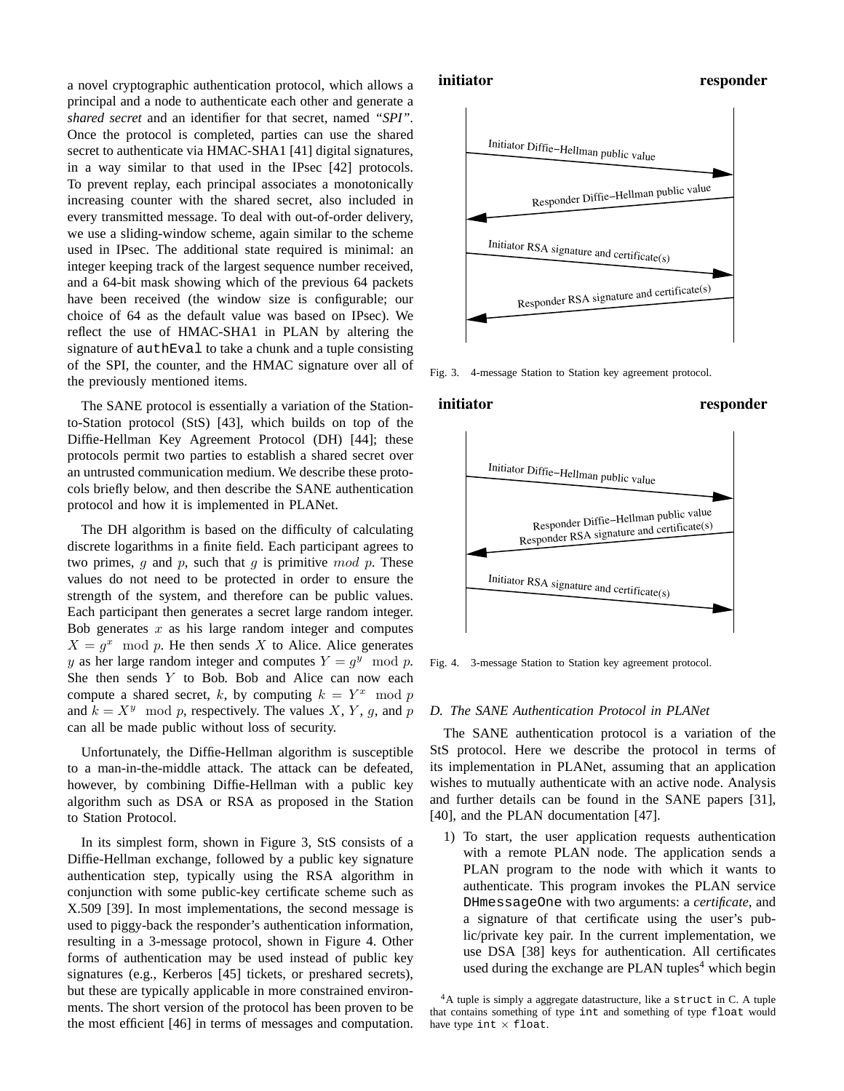a novel cryptographic authentication protocol, which allows a principal and a node to authenticate each other and generate a *shared secret* and an identifier for that secret, named *"SPI"*. Once the protocol is completed, parties can use the shared secret to authenticate via HMAC-SHA1 [41] digital signatures, in a way similar to that used in the IPsec [42] protocols. To prevent replay, each principal associates a monotonically increasing counter with the shared secret, also included in every transmitted message. To deal with out-of-order delivery, we use a sliding-window scheme, again similar to the scheme used in IPsec. The additional state required is minimal: an integer keeping track of the largest sequence number received, and a 64-bit mask showing which of the previous 64 packets have been received (the window size is configurable; our choice of 64 as the default value was based on IPsec). We reflect the use of HMAC-SHA1 in PLAN by altering the signature of authEval to take a chunk and a tuple consisting of the SPI, the counter, and the HMAC signature over all of the previously mentioned items.

The SANE protocol is essentially a variation of the Stationto-Station protocol (StS) [43], which builds on top of the Diffie-Hellman Key Agreement Protocol (DH) [44]; these protocols permit two parties to establish a shared secret over an untrusted communication medium. We describe these protocols briefly below, and then describe the SANE authentication protocol and how it is implemented in PLANet.

The DH algorithm is based on the difficulty of calculating discrete logarithms in a finite field. Each participant agrees to two primes, q and p, such that q is primitive mod p. These values do not need to be protected in order to ensure the strength of the system, and therefore can be public values. Each participant then generates a secret large random integer. Bob generates  $x$  as his large random integer and computes  $X = g^x \mod p$ . He then sends X to Alice. Alice generates y as her large random integer and computes  $Y = g^y \mod p$ . She then sends Y to Bob. Bob and Alice can now each compute a shared secret, k, by computing  $k = Y^x \mod p$ and  $k = X^y \mod p$ , respectively. The values X, Y, g, and p can all be made public without loss of security.

Unfortunately, the Diffie-Hellman algorithm is susceptible to a man-in-the-middle attack. The attack can be defeated, however, by combining Diffie-Hellman with a public key algorithm such as DSA or RSA as proposed in the Station to Station Protocol.

In its simplest form, shown in Figure 3, StS consists of a Diffie-Hellman exchange, followed by a public key signature authentication step, typically using the RSA algorithm in conjunction with some public-key certificate scheme such as X.509 [39]. In most implementations, the second message is used to piggy-back the responder's authentication information, resulting in a 3-message protocol, shown in Figure 4. Other forms of authentication may be used instead of public key signatures (e.g., Kerberos [45] tickets, or preshared secrets), but these are typically applicable in more constrained environments. The short version of the protocol has been proven to be the most efficient [46] in terms of messages and computation.

# Initiator RSA signature and certificate(s) Initiator Diffie−Hellman public value Responder Diffie−Hellman public value Responder RSA signature and certificate(s)

Fig. 3. 4-message Station to Station key agreement protocol.

### **initiator**

## **responder**



Fig. 4. 3-message Station to Station key agreement protocol.

### *D. The SANE Authentication Protocol in PLANet*

The SANE authentication protocol is a variation of the StS protocol. Here we describe the protocol in terms of its implementation in PLANet, assuming that an application wishes to mutually authenticate with an active node. Analysis and further details can be found in the SANE papers [31], [40], and the PLAN documentation [47].

1) To start, the user application requests authentication with a remote PLAN node. The application sends a PLAN program to the node with which it wants to authenticate. This program invokes the PLAN service DHmessageOne with two arguments: a *certificate*, and a signature of that certificate using the user's public/private key pair. In the current implementation, we use DSA [38] keys for authentication. All certificates used during the exchange are  $PLAN$  tuples<sup>4</sup> which begin

### **initiator responder**

 $4A$  tuple is simply a aggregate datastructure, like a struct in C. A tuple that contains something of type int and something of type float would have type int  $\times$  float.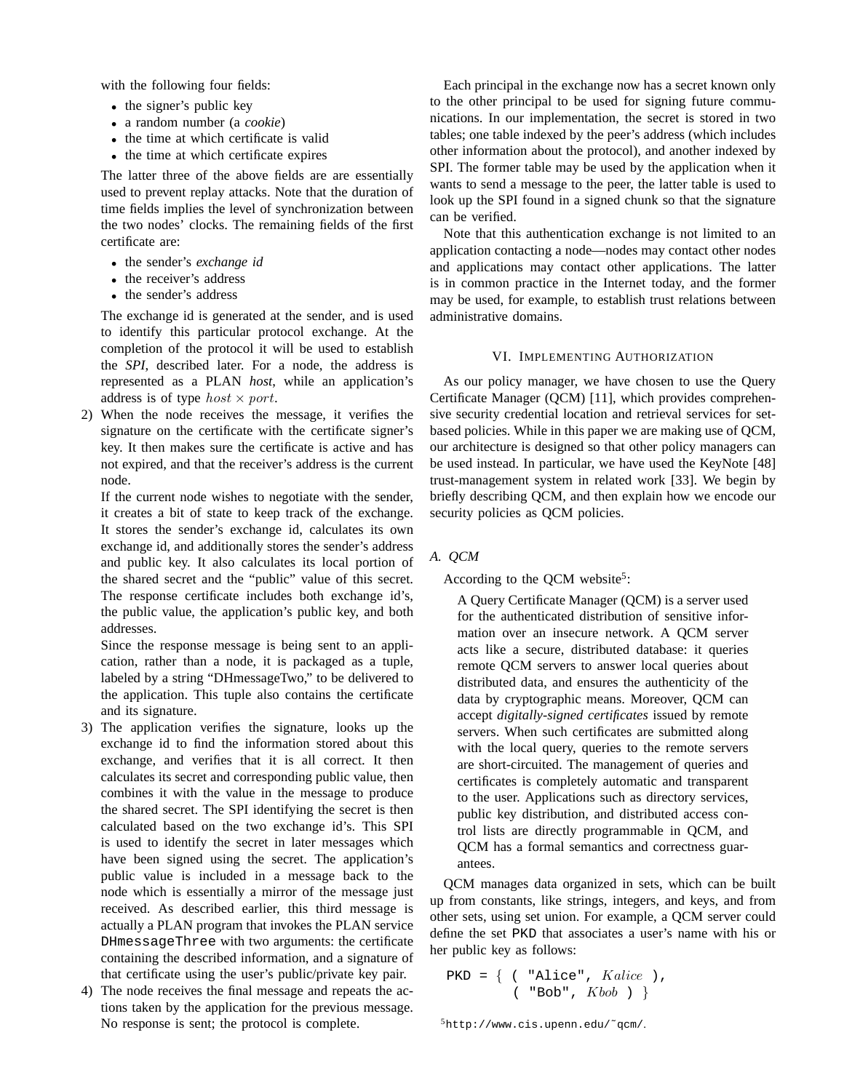with the following four fields:

- the signer's public key
- a random number (a *cookie*)
- the time at which certificate is valid
- the time at which certificate expires

The latter three of the above fields are are essentially used to prevent replay attacks. Note that the duration of time fields implies the level of synchronization between the two nodes' clocks. The remaining fields of the first certificate are:

- the sender's *exchange id*
- the receiver's address
- the sender's address

The exchange id is generated at the sender, and is used to identify this particular protocol exchange. At the completion of the protocol it will be used to establish the *SPI*, described later. For a node, the address is represented as a PLAN *host*, while an application's address is of type  $host \times port$ .

2) When the node receives the message, it verifies the signature on the certificate with the certificate signer's key. It then makes sure the certificate is active and has not expired, and that the receiver's address is the current node.

If the current node wishes to negotiate with the sender, it creates a bit of state to keep track of the exchange. It stores the sender's exchange id, calculates its own exchange id, and additionally stores the sender's address and public key. It also calculates its local portion of the shared secret and the "public" value of this secret. The response certificate includes both exchange id's, the public value, the application's public key, and both addresses.

Since the response message is being sent to an application, rather than a node, it is packaged as a tuple, labeled by a string "DHmessageTwo," to be delivered to the application. This tuple also contains the certificate and its signature.

- 3) The application verifies the signature, looks up the exchange id to find the information stored about this exchange, and verifies that it is all correct. It then calculates its secret and corresponding public value, then combines it with the value in the message to produce the shared secret. The SPI identifying the secret is then calculated based on the two exchange id's. This SPI is used to identify the secret in later messages which have been signed using the secret. The application's public value is included in a message back to the node which is essentially a mirror of the message just received. As described earlier, this third message is actually a PLAN program that invokes the PLAN service DHmessageThree with two arguments: the certificate containing the described information, and a signature of that certificate using the user's public/private key pair.
- 4) The node receives the final message and repeats the actions taken by the application for the previous message. No response is sent; the protocol is complete.

Each principal in the exchange now has a secret known only to the other principal to be used for signing future communications. In our implementation, the secret is stored in two tables; one table indexed by the peer's address (which includes other information about the protocol), and another indexed by SPI. The former table may be used by the application when it wants to send a message to the peer, the latter table is used to look up the SPI found in a signed chunk so that the signature can be verified.

Note that this authentication exchange is not limited to an application contacting a node—nodes may contact other nodes and applications may contact other applications. The latter is in common practice in the Internet today, and the former may be used, for example, to establish trust relations between administrative domains.

### VI. IMPLEMENTING AUTHORIZATION

As our policy manager, we have chosen to use the Query Certificate Manager (QCM) [11], which provides comprehensive security credential location and retrieval services for setbased policies. While in this paper we are making use of QCM, our architecture is designed so that other policy managers can be used instead. In particular, we have used the KeyNote [48] trust-management system in related work [33]. We begin by briefly describing QCM, and then explain how we encode our security policies as QCM policies.

### *A. QCM*

According to the QCM website<sup>5</sup>:

A Query Certificate Manager (QCM) is a server used for the authenticated distribution of sensitive information over an insecure network. A QCM server acts like a secure, distributed database: it queries remote QCM servers to answer local queries about distributed data, and ensures the authenticity of the data by cryptographic means. Moreover, QCM can accept *digitally-signed certificates* issued by remote servers. When such certificates are submitted along with the local query, queries to the remote servers are short-circuited. The management of queries and certificates is completely automatic and transparent to the user. Applications such as directory services, public key distribution, and distributed access control lists are directly programmable in QCM, and QCM has a formal semantics and correctness guarantees.

QCM manages data organized in sets, which can be built up from constants, like strings, integers, and keys, and from other sets, using set union. For example, a QCM server could define the set PKD that associates a user's name with his or her public key as follows:

$$
PKD = \{ ( "Alice", Kalice ),
$$

$$
( "Bob", Kbob ) \}
$$

<sup>5</sup>http://www.cis.upenn.edu/˜qcm/.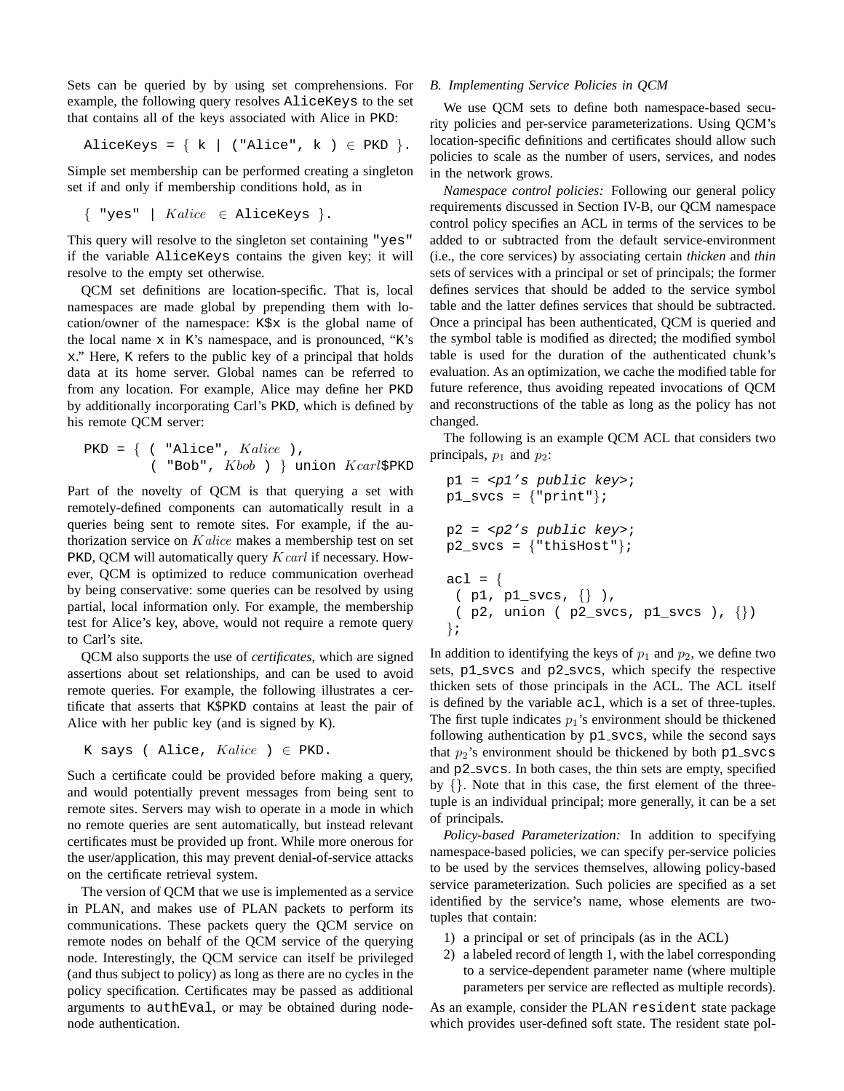Sets can be queried by by using set comprehensions. For example, the following query resolves AliceKeys to the set that contains all of the keys associated with Alice in PKD:

$$
\mathtt{AliceKeys} = \{\ k \mid (\text{"Alice", k }) \in \mathtt{PKD} \}.
$$

Simple set membership can be performed creating a singleton set if and only if membership conditions hold, as in

```
\{ "yes" | Kalice \in AliceKeys }.
```
This query will resolve to the singleton set containing "yes" if the variable AliceKeys contains the given key; it will resolve to the empty set otherwise.

QCM set definitions are location-specific. That is, local namespaces are made global by prepending them with location/owner of the namespace: K\$x is the global name of the local name  $x$  in  $K$ 's namespace, and is pronounced, " $K$ 's x." Here, K refers to the public key of a principal that holds data at its home server. Global names can be referred to from any location. For example, Alice may define her PKD by additionally incorporating Carl's PKD, which is defined by his remote QCM server:

$$
PKD = \{ ( "Alice", Kalice ),
$$
  
( "Bob", *Kbob*) } union *Kcarl\$*\$PKD

Part of the novelty of QCM is that querying a set with remotely-defined components can automatically result in a queries being sent to remote sites. For example, if the authorization service on  $K$  *alice* makes a membership test on set PKD, QCM will automatically query  $K \, \text{carl}$  if necessary. However, QCM is optimized to reduce communication overhead by being conservative: some queries can be resolved by using partial, local information only. For example, the membership test for Alice's key, above, would not require a remote query to Carl's site.

QCM also supports the use of *certificates*, which are signed assertions about set relationships, and can be used to avoid remote queries. For example, the following illustrates a certificate that asserts that K\$PKD contains at least the pair of Alice with her public key (and is signed by K).

K says ( Alice,  $Kalice$  )  $\in$  PKD.

Such a certificate could be provided before making a query, and would potentially prevent messages from being sent to remote sites. Servers may wish to operate in a mode in which no remote queries are sent automatically, but instead relevant certificates must be provided up front. While more onerous for the user/application, this may prevent denial-of-service attacks on the certificate retrieval system.

The version of QCM that we use is implemented as a service in PLAN, and makes use of PLAN packets to perform its communications. These packets query the QCM service on remote nodes on behalf of the QCM service of the querying node. Interestingly, the QCM service can itself be privileged (and thus subject to policy) as long as there are no cycles in the policy specification. Certificates may be passed as additional arguments to authEval, or may be obtained during nodenode authentication.

### *B. Implementing Service Policies in QCM*

We use QCM sets to define both namespace-based security policies and per-service parameterizations. Using QCM's location-specific definitions and certificates should allow such policies to scale as the number of users, services, and nodes in the network grows.

*Namespace control policies:* Following our general policy requirements discussed in Section IV-B, our QCM namespace control policy specifies an ACL in terms of the services to be added to or subtracted from the default service-environment (i.e., the core services) by associating certain *thicken* and *thin* sets of services with a principal or set of principals; the former defines services that should be added to the service symbol table and the latter defines services that should be subtracted. Once a principal has been authenticated, QCM is queried and the symbol table is modified as directed; the modified symbol table is used for the duration of the authenticated chunk's evaluation. As an optimization, we cache the modified table for future reference, thus avoiding repeated invocations of QCM and reconstructions of the table as long as the policy has not changed.

The following is an example QCM ACL that considers two principals,  $p_1$  and  $p_2$ :

p1 = <p1's public key>; p1\_svcs = {"print"}; p2 = <p2's public key>; p2\_svcs = {"thisHost"}; acl = { ( p1, p1\_svcs, {} ), ( p2, union ( p2\_svcs, p1\_svcs ), {}) };

In addition to identifying the keys of  $p_1$  and  $p_2$ , we define two sets, p1\_svcs and p2\_svcs, which specify the respective thicken sets of those principals in the ACL. The ACL itself is defined by the variable acl, which is a set of three-tuples. The first tuple indicates  $p_1$ 's environment should be thickened following authentication by  $p1$  svcs, while the second says that  $p_2$ 's environment should be thickened by both p1 svcs and  $p2$  svcs. In both cases, the thin sets are empty, specified by {}. Note that in this case, the first element of the threetuple is an individual principal; more generally, it can be a set of principals.

*Policy-based Parameterization:* In addition to specifying namespace-based policies, we can specify per-service policies to be used by the services themselves, allowing policy-based service parameterization. Such policies are specified as a set identified by the service's name, whose elements are twotuples that contain:

- 1) a principal or set of principals (as in the ACL)
- 2) a labeled record of length 1, with the label corresponding to a service-dependent parameter name (where multiple parameters per service are reflected as multiple records).

As an example, consider the PLAN resident state package which provides user-defined soft state. The resident state pol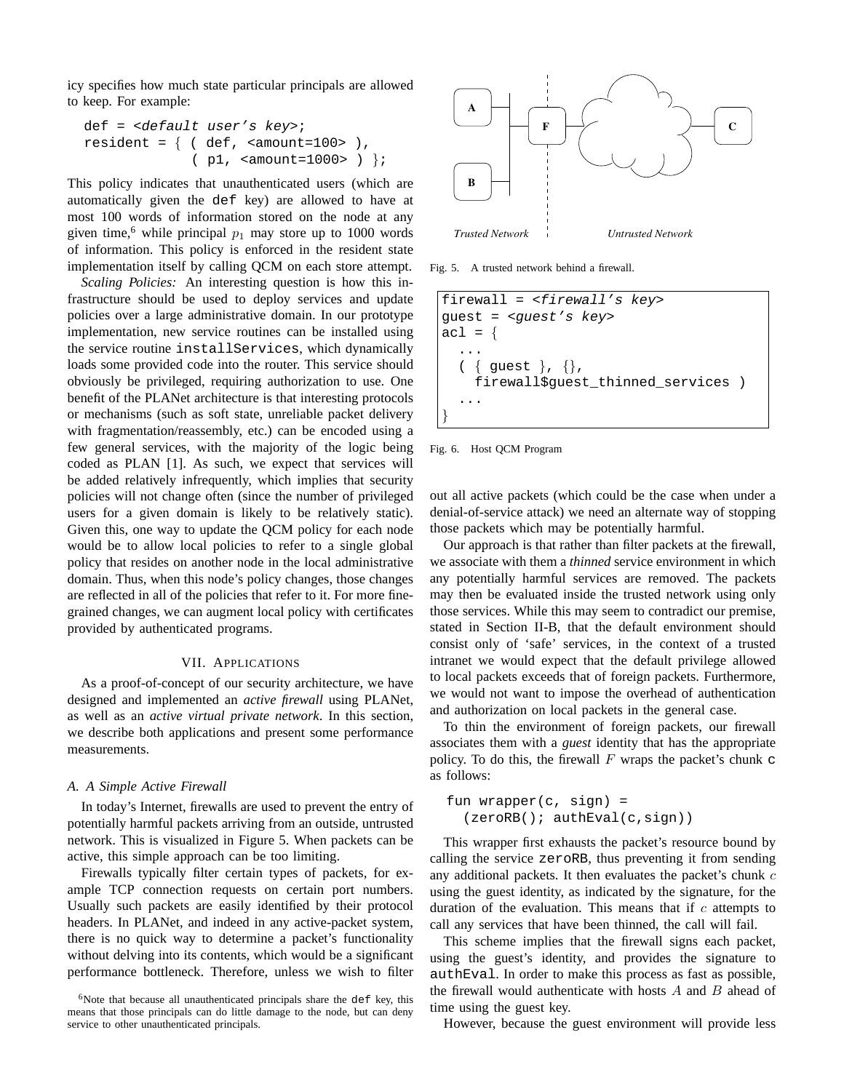icy specifies how much state particular principals are allowed to keep. For example:

```
def = <default user's key>;
resident = \{ ( def, <amount=100> ),
              (p1, \; <amount=1000> ) };
```
This policy indicates that unauthenticated users (which are automatically given the def key) are allowed to have at most 100 words of information stored on the node at any given time,<sup>6</sup> while principal  $p_1$  may store up to 1000 words of information. This policy is enforced in the resident state implementation itself by calling QCM on each store attempt.

*Scaling Policies:* An interesting question is how this infrastructure should be used to deploy services and update policies over a large administrative domain. In our prototype implementation, new service routines can be installed using the service routine installServices, which dynamically loads some provided code into the router. This service should obviously be privileged, requiring authorization to use. One benefit of the PLANet architecture is that interesting protocols or mechanisms (such as soft state, unreliable packet delivery with fragmentation/reassembly, etc.) can be encoded using a few general services, with the majority of the logic being coded as PLAN [1]. As such, we expect that services will be added relatively infrequently, which implies that security policies will not change often (since the number of privileged users for a given domain is likely to be relatively static). Given this, one way to update the QCM policy for each node would be to allow local policies to refer to a single global policy that resides on another node in the local administrative domain. Thus, when this node's policy changes, those changes are reflected in all of the policies that refer to it. For more finegrained changes, we can augment local policy with certificates provided by authenticated programs.

### VII. APPLICATIONS

As a proof-of-concept of our security architecture, we have designed and implemented an *active firewall* using PLANet, as well as an *active virtual private network*. In this section, we describe both applications and present some performance measurements.

### *A. A Simple Active Firewall*

In today's Internet, firewalls are used to prevent the entry of potentially harmful packets arriving from an outside, untrusted network. This is visualized in Figure 5. When packets can be active, this simple approach can be too limiting.

Firewalls typically filter certain types of packets, for example TCP connection requests on certain port numbers. Usually such packets are easily identified by their protocol headers. In PLANet, and indeed in any active-packet system, there is no quick way to determine a packet's functionality without delving into its contents, which would be a significant performance bottleneck. Therefore, unless we wish to filter



Fig. 5. A trusted network behind a firewall.

```
firewall = <firewall's key>
guest = <guest's key>
acl = \{...
  ( \{ quest \}, \{ \}, \firewall$guest_thinned_services )
  ...
}
```


out all active packets (which could be the case when under a denial-of-service attack) we need an alternate way of stopping those packets which may be potentially harmful.

Our approach is that rather than filter packets at the firewall, we associate with them a *thinned* service environment in which any potentially harmful services are removed. The packets may then be evaluated inside the trusted network using only those services. While this may seem to contradict our premise, stated in Section II-B, that the default environment should consist only of 'safe' services, in the context of a trusted intranet we would expect that the default privilege allowed to local packets exceeds that of foreign packets. Furthermore, we would not want to impose the overhead of authentication and authorization on local packets in the general case.

To thin the environment of foreign packets, our firewall associates them with a *guest* identity that has the appropriate policy. To do this, the firewall  $F$  wraps the packet's chunk  $\sigma$ as follows:

```
fun wrapper(c, sign) =
  (zeroRB(); authEval(c,sign))
```
This wrapper first exhausts the packet's resource bound by calling the service zeroRB, thus preventing it from sending any additional packets. It then evaluates the packet's chunk  $c$ using the guest identity, as indicated by the signature, for the duration of the evaluation. This means that if  $c$  attempts to call any services that have been thinned, the call will fail.

This scheme implies that the firewall signs each packet, using the guest's identity, and provides the signature to authEval. In order to make this process as fast as possible, the firewall would authenticate with hosts  $A$  and  $B$  ahead of time using the guest key.

However, because the guest environment will provide less

 $6$ Note that because all unauthenticated principals share the def key, this means that those principals can do little damage to the node, but can deny service to other unauthenticated principals.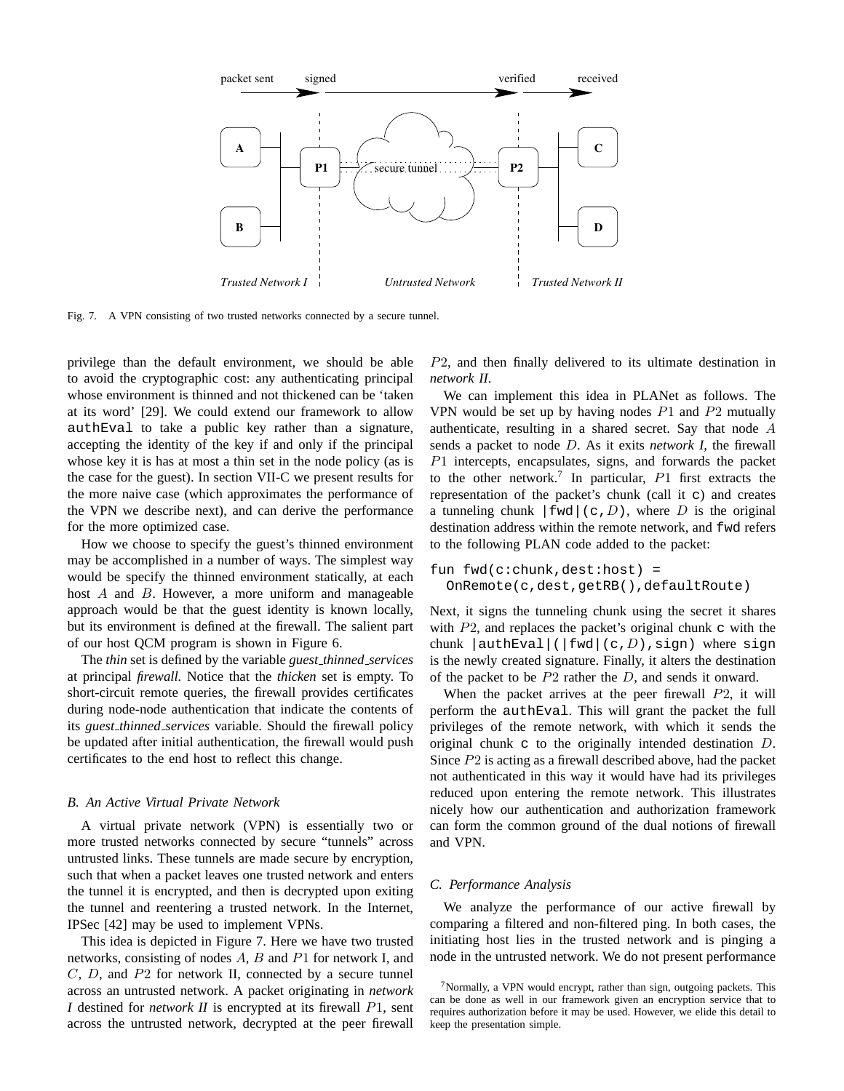

Fig. 7. A VPN consisting of two trusted networks connected by a secure tunnel.

privilege than the default environment, we should be able to avoid the cryptographic cost: any authenticating principal whose environment is thinned and not thickened can be 'taken at its word' [29]. We could extend our framework to allow authEval to take a public key rather than a signature, accepting the identity of the key if and only if the principal whose key it is has at most a thin set in the node policy (as is the case for the guest). In section VII-C we present results for the more naive case (which approximates the performance of the VPN we describe next), and can derive the performance for the more optimized case.

How we choose to specify the guest's thinned environment may be accomplished in a number of ways. The simplest way would be specify the thinned environment statically, at each host A and B. However, a more uniform and manageable approach would be that the guest identity is known locally, but its environment is defined at the firewall. The salient part of our host QCM program is shown in Figure 6.

The *thin* set is defined by the variable *guest thinned services* at principal *firewall.* Notice that the *thicken* set is empty. To short-circuit remote queries, the firewall provides certificates during node-node authentication that indicate the contents of its *guest thinned services* variable. Should the firewall policy be updated after initial authentication, the firewall would push certificates to the end host to reflect this change.

### *B. An Active Virtual Private Network*

A virtual private network (VPN) is essentially two or more trusted networks connected by secure "tunnels" across untrusted links. These tunnels are made secure by encryption, such that when a packet leaves one trusted network and enters the tunnel it is encrypted, and then is decrypted upon exiting the tunnel and reentering a trusted network. In the Internet, IPSec [42] may be used to implement VPNs.

This idea is depicted in Figure 7. Here we have two trusted networks, consisting of nodes A, B and P1 for network I, and  $C, D,$  and  $P2$  for network II, connected by a secure tunnel across an untrusted network. A packet originating in *network I* destined for *network II* is encrypted at its firewall P1, sent across the untrusted network, decrypted at the peer firewall

P2, and then finally delivered to its ultimate destination in *network II*.

We can implement this idea in PLANet as follows. The VPN would be set up by having nodes  $P1$  and  $P2$  mutually authenticate, resulting in a shared secret. Say that node A sends a packet to node D. As it exits *network I*, the firewall P1 intercepts, encapsulates, signs, and forwards the packet to the other network.<sup>7</sup> In particular,  $P1$  first extracts the representation of the packet's chunk (call it c) and creates a tunneling chunk  $|\text{fwd}|(c,D)$ , where D is the original destination address within the remote network, and fwd refers to the following PLAN code added to the packet:

```
fun fwd(c:chunk,dest:host) =
 OnRemote(c,dest,getRB(),defaultRoute)
```
Next, it signs the tunneling chunk using the secret it shares with  $P2$ , and replaces the packet's original chunk c with the chunk  $|$  authEval  $|$  ( $|$  fwd  $|$  (c, D), sign) where sign is the newly created signature. Finally, it alters the destination of the packet to be  $P2$  rather the  $D$ , and sends it onward.

When the packet arrives at the peer firewall P2, it will perform the authEval. This will grant the packet the full privileges of the remote network, with which it sends the original chunk c to the originally intended destination D. Since P2 is acting as a firewall described above, had the packet not authenticated in this way it would have had its privileges reduced upon entering the remote network. This illustrates nicely how our authentication and authorization framework can form the common ground of the dual notions of firewall and VPN.

### *C. Performance Analysis*

We analyze the performance of our active firewall by comparing a filtered and non-filtered ping. In both cases, the initiating host lies in the trusted network and is pinging a node in the untrusted network. We do not present performance

<sup>&</sup>lt;sup>7</sup>Normally, a VPN would encrypt, rather than sign, outgoing packets. This can be done as well in our framework given an encryption service that to requires authorization before it may be used. However, we elide this detail to keep the presentation simple.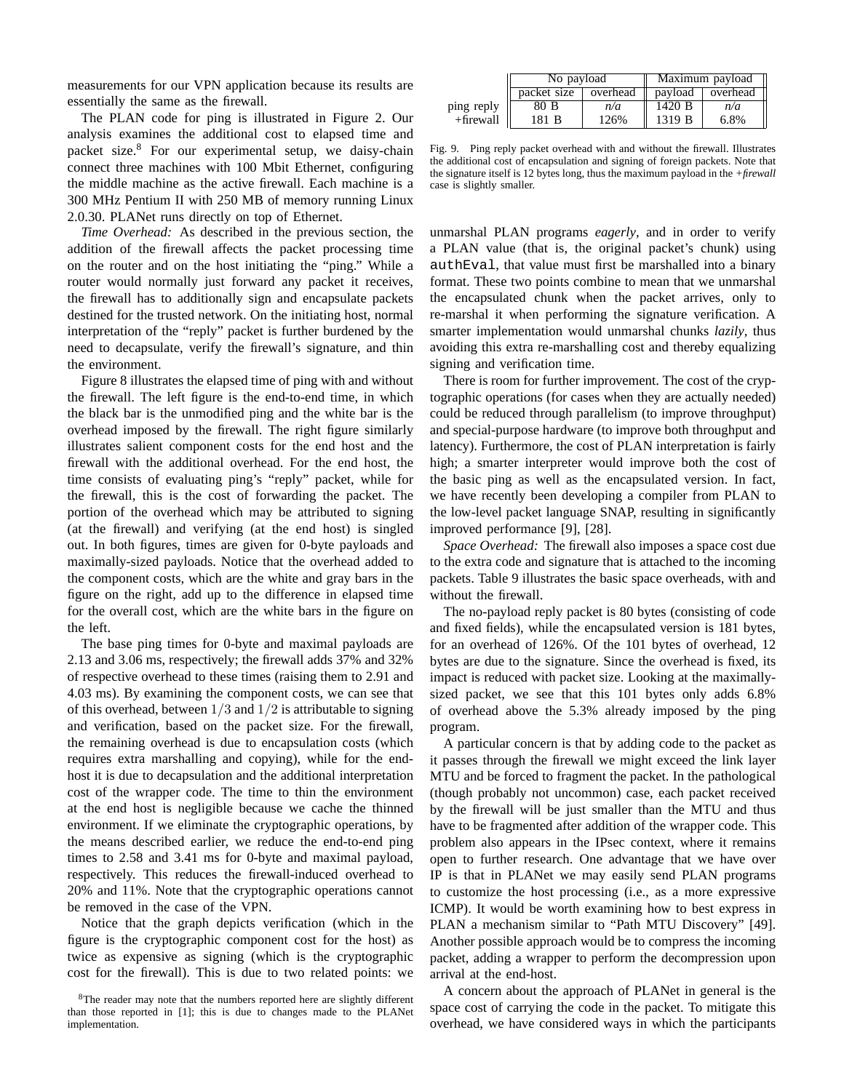measurements for our VPN application because its results are essentially the same as the firewall.

The PLAN code for ping is illustrated in Figure 2. Our analysis examines the additional cost to elapsed time and packet size.<sup>8</sup> For our experimental setup, we daisy-chain connect three machines with 100 Mbit Ethernet, configuring the middle machine as the active firewall. Each machine is a 300 MHz Pentium II with 250 MB of memory running Linux 2.0.30. PLANet runs directly on top of Ethernet.

*Time Overhead:* As described in the previous section, the addition of the firewall affects the packet processing time on the router and on the host initiating the "ping." While a router would normally just forward any packet it receives, the firewall has to additionally sign and encapsulate packets destined for the trusted network. On the initiating host, normal interpretation of the "reply" packet is further burdened by the need to decapsulate, verify the firewall's signature, and thin the environment.

Figure 8 illustrates the elapsed time of ping with and without the firewall. The left figure is the end-to-end time, in which the black bar is the unmodified ping and the white bar is the overhead imposed by the firewall. The right figure similarly illustrates salient component costs for the end host and the firewall with the additional overhead. For the end host, the time consists of evaluating ping's "reply" packet, while for the firewall, this is the cost of forwarding the packet. The portion of the overhead which may be attributed to signing (at the firewall) and verifying (at the end host) is singled out. In both figures, times are given for 0-byte payloads and maximally-sized payloads. Notice that the overhead added to the component costs, which are the white and gray bars in the figure on the right, add up to the difference in elapsed time for the overall cost, which are the white bars in the figure on the left.

The base ping times for 0-byte and maximal payloads are 2.13 and 3.06 ms, respectively; the firewall adds 37% and 32% of respective overhead to these times (raising them to 2.91 and 4.03 ms). By examining the component costs, we can see that of this overhead, between  $1/3$  and  $1/2$  is attributable to signing and verification, based on the packet size. For the firewall, the remaining overhead is due to encapsulation costs (which requires extra marshalling and copying), while for the endhost it is due to decapsulation and the additional interpretation cost of the wrapper code. The time to thin the environment at the end host is negligible because we cache the thinned environment. If we eliminate the cryptographic operations, by the means described earlier, we reduce the end-to-end ping times to 2.58 and 3.41 ms for 0-byte and maximal payload, respectively. This reduces the firewall-induced overhead to 20% and 11%. Note that the cryptographic operations cannot be removed in the case of the VPN.

Notice that the graph depicts verification (which in the figure is the cryptographic component cost for the host) as twice as expensive as signing (which is the cryptographic cost for the firewall). This is due to two related points: we

|              | No payload  |          | Maximum payload |          |
|--------------|-------------|----------|-----------------|----------|
|              | packet size | overhead | payload         | overhead |
| ping reply   | 80 B        | n/a      | 1420 B          | n/a      |
| $+$ firewall | 181 B       | 126%     | 1319 B          | 6.8%     |

Fig. 9. Ping reply packet overhead with and without the firewall. Illustrates the additional cost of encapsulation and signing of foreign packets. Note that the signature itself is 12 bytes long, thus the maximum payload in the *+firewall* case is slightly smaller.

unmarshal PLAN programs *eagerly*, and in order to verify a PLAN value (that is, the original packet's chunk) using authEval, that value must first be marshalled into a binary format. These two points combine to mean that we unmarshal the encapsulated chunk when the packet arrives, only to re-marshal it when performing the signature verification. A smarter implementation would unmarshal chunks *lazily*, thus avoiding this extra re-marshalling cost and thereby equalizing signing and verification time.

There is room for further improvement. The cost of the cryptographic operations (for cases when they are actually needed) could be reduced through parallelism (to improve throughput) and special-purpose hardware (to improve both throughput and latency). Furthermore, the cost of PLAN interpretation is fairly high; a smarter interpreter would improve both the cost of the basic ping as well as the encapsulated version. In fact, we have recently been developing a compiler from PLAN to the low-level packet language SNAP, resulting in significantly improved performance [9], [28].

*Space Overhead:* The firewall also imposes a space cost due to the extra code and signature that is attached to the incoming packets. Table 9 illustrates the basic space overheads, with and without the firewall.

The no-payload reply packet is 80 bytes (consisting of code and fixed fields), while the encapsulated version is 181 bytes, for an overhead of 126%. Of the 101 bytes of overhead, 12 bytes are due to the signature. Since the overhead is fixed, its impact is reduced with packet size. Looking at the maximallysized packet, we see that this 101 bytes only adds 6.8% of overhead above the 5.3% already imposed by the ping program.

A particular concern is that by adding code to the packet as it passes through the firewall we might exceed the link layer MTU and be forced to fragment the packet. In the pathological (though probably not uncommon) case, each packet received by the firewall will be just smaller than the MTU and thus have to be fragmented after addition of the wrapper code. This problem also appears in the IPsec context, where it remains open to further research. One advantage that we have over IP is that in PLANet we may easily send PLAN programs to customize the host processing (i.e., as a more expressive ICMP). It would be worth examining how to best express in PLAN a mechanism similar to "Path MTU Discovery" [49]. Another possible approach would be to compress the incoming packet, adding a wrapper to perform the decompression upon arrival at the end-host.

A concern about the approach of PLANet in general is the space cost of carrying the code in the packet. To mitigate this overhead, we have considered ways in which the participants

 $8$ The reader may note that the numbers reported here are slightly different than those reported in [1]; this is due to changes made to the PLANet implementation.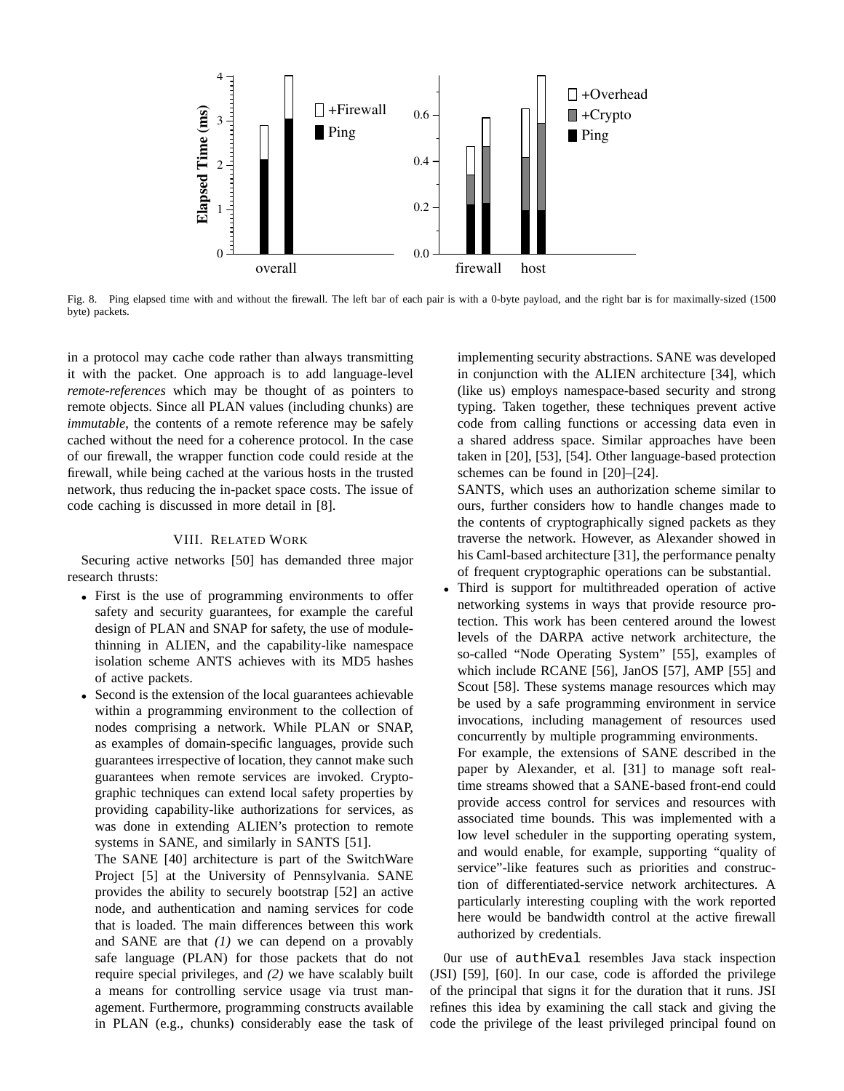

Fig. 8. Ping elapsed time with and without the firewall. The left bar of each pair is with a 0-byte payload, and the right bar is for maximally-sized (1500 byte) packets.

in a protocol may cache code rather than always transmitting it with the packet. One approach is to add language-level *remote-references* which may be thought of as pointers to remote objects. Since all PLAN values (including chunks) are *immutable*, the contents of a remote reference may be safely cached without the need for a coherence protocol. In the case of our firewall, the wrapper function code could reside at the firewall, while being cached at the various hosts in the trusted network, thus reducing the in-packet space costs. The issue of code caching is discussed in more detail in [8].

### VIII. RELATED WORK

Securing active networks [50] has demanded three major research thrusts:

- First is the use of programming environments to offer safety and security guarantees, for example the careful design of PLAN and SNAP for safety, the use of modulethinning in ALIEN, and the capability-like namespace isolation scheme ANTS achieves with its MD5 hashes of active packets.
- Second is the extension of the local guarantees achievable within a programming environment to the collection of nodes comprising a network. While PLAN or SNAP, as examples of domain-specific languages, provide such guarantees irrespective of location, they cannot make such guarantees when remote services are invoked. Cryptographic techniques can extend local safety properties by providing capability-like authorizations for services, as was done in extending ALIEN's protection to remote systems in SANE, and similarly in SANTS [51].

The SANE [40] architecture is part of the SwitchWare Project [5] at the University of Pennsylvania. SANE provides the ability to securely bootstrap [52] an active node, and authentication and naming services for code that is loaded. The main differences between this work and SANE are that *(1)* we can depend on a provably safe language (PLAN) for those packets that do not require special privileges, and *(2)* we have scalably built a means for controlling service usage via trust management. Furthermore, programming constructs available in PLAN (e.g., chunks) considerably ease the task of implementing security abstractions. SANE was developed in conjunction with the ALIEN architecture [34], which (like us) employs namespace-based security and strong typing. Taken together, these techniques prevent active code from calling functions or accessing data even in a shared address space. Similar approaches have been taken in [20], [53], [54]. Other language-based protection schemes can be found in [20]–[24].

SANTS, which uses an authorization scheme similar to ours, further considers how to handle changes made to the contents of cryptographically signed packets as they traverse the network. However, as Alexander showed in his Caml-based architecture [31], the performance penalty of frequent cryptographic operations can be substantial.

• Third is support for multithreaded operation of active networking systems in ways that provide resource protection. This work has been centered around the lowest levels of the DARPA active network architecture, the so-called "Node Operating System" [55], examples of which include RCANE [56], JanOS [57], AMP [55] and Scout [58]. These systems manage resources which may be used by a safe programming environment in service invocations, including management of resources used concurrently by multiple programming environments. For example, the extensions of SANE described in the paper by Alexander, et al. [31] to manage soft realtime streams showed that a SANE-based front-end could provide access control for services and resources with associated time bounds. This was implemented with a low level scheduler in the supporting operating system, and would enable, for example, supporting "quality of service"-like features such as priorities and construction of differentiated-service network architectures. A particularly interesting coupling with the work reported here would be bandwidth control at the active firewall authorized by credentials.

0ur use of authEval resembles Java stack inspection (JSI) [59], [60]. In our case, code is afforded the privilege of the principal that signs it for the duration that it runs. JSI refines this idea by examining the call stack and giving the code the privilege of the least privileged principal found on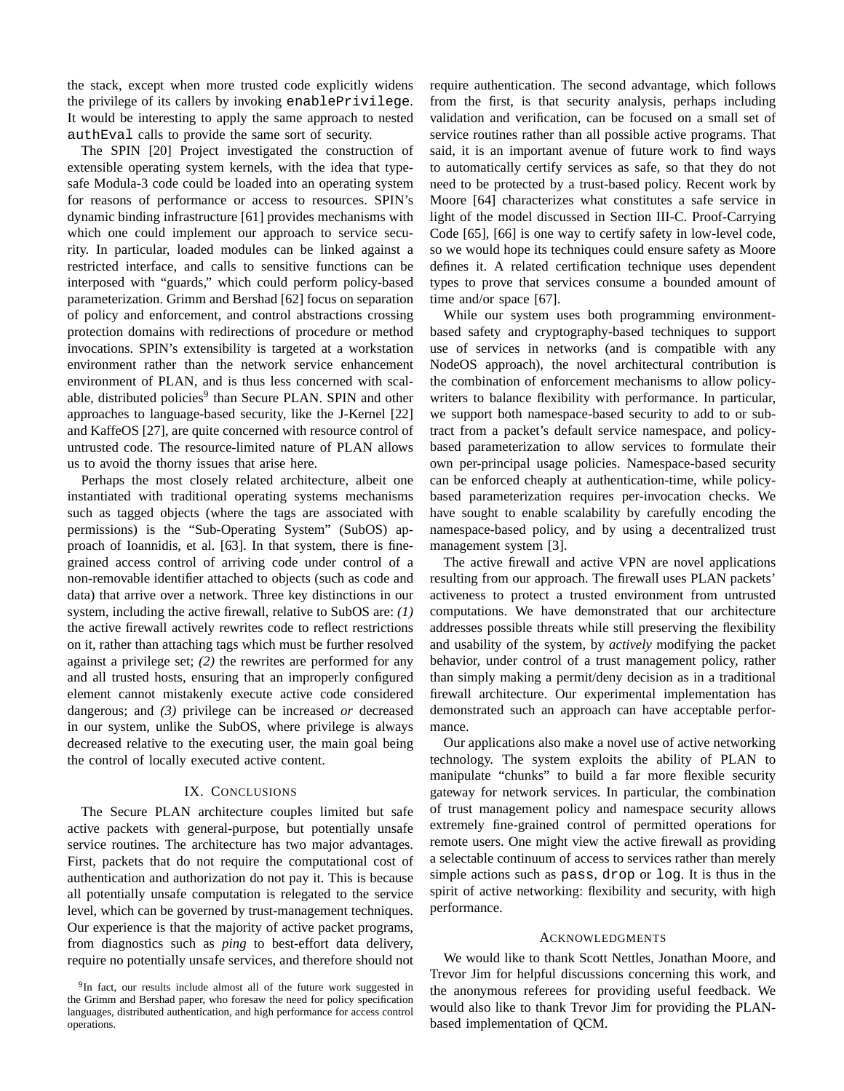the stack, except when more trusted code explicitly widens the privilege of its callers by invoking enablePrivilege. It would be interesting to apply the same approach to nested authEval calls to provide the same sort of security.

The SPIN [20] Project investigated the construction of extensible operating system kernels, with the idea that typesafe Modula-3 code could be loaded into an operating system for reasons of performance or access to resources. SPIN's dynamic binding infrastructure [61] provides mechanisms with which one could implement our approach to service security. In particular, loaded modules can be linked against a restricted interface, and calls to sensitive functions can be interposed with "guards," which could perform policy-based parameterization. Grimm and Bershad [62] focus on separation of policy and enforcement, and control abstractions crossing protection domains with redirections of procedure or method invocations. SPIN's extensibility is targeted at a workstation environment rather than the network service enhancement environment of PLAN, and is thus less concerned with scalable, distributed policies<sup>9</sup> than Secure PLAN. SPIN and other approaches to language-based security, like the J-Kernel [22] and KaffeOS [27], are quite concerned with resource control of untrusted code. The resource-limited nature of PLAN allows us to avoid the thorny issues that arise here.

Perhaps the most closely related architecture, albeit one instantiated with traditional operating systems mechanisms such as tagged objects (where the tags are associated with permissions) is the "Sub-Operating System" (SubOS) approach of Ioannidis, et al. [63]. In that system, there is finegrained access control of arriving code under control of a non-removable identifier attached to objects (such as code and data) that arrive over a network. Three key distinctions in our system, including the active firewall, relative to SubOS are: *(1)* the active firewall actively rewrites code to reflect restrictions on it, rather than attaching tags which must be further resolved against a privilege set; *(2)* the rewrites are performed for any and all trusted hosts, ensuring that an improperly configured element cannot mistakenly execute active code considered dangerous; and *(3)* privilege can be increased *or* decreased in our system, unlike the SubOS, where privilege is always decreased relative to the executing user, the main goal being the control of locally executed active content.

### IX. CONCLUSIONS

The Secure PLAN architecture couples limited but safe active packets with general-purpose, but potentially unsafe service routines. The architecture has two major advantages. First, packets that do not require the computational cost of authentication and authorization do not pay it. This is because all potentially unsafe computation is relegated to the service level, which can be governed by trust-management techniques. Our experience is that the majority of active packet programs, from diagnostics such as *ping* to best-effort data delivery, require no potentially unsafe services, and therefore should not require authentication. The second advantage, which follows from the first, is that security analysis, perhaps including validation and verification, can be focused on a small set of service routines rather than all possible active programs. That said, it is an important avenue of future work to find ways to automatically certify services as safe, so that they do not need to be protected by a trust-based policy. Recent work by Moore [64] characterizes what constitutes a safe service in light of the model discussed in Section III-C. Proof-Carrying Code [65], [66] is one way to certify safety in low-level code, so we would hope its techniques could ensure safety as Moore defines it. A related certification technique uses dependent types to prove that services consume a bounded amount of time and/or space [67].

While our system uses both programming environmentbased safety and cryptography-based techniques to support use of services in networks (and is compatible with any NodeOS approach), the novel architectural contribution is the combination of enforcement mechanisms to allow policywriters to balance flexibility with performance. In particular, we support both namespace-based security to add to or subtract from a packet's default service namespace, and policybased parameterization to allow services to formulate their own per-principal usage policies. Namespace-based security can be enforced cheaply at authentication-time, while policybased parameterization requires per-invocation checks. We have sought to enable scalability by carefully encoding the namespace-based policy, and by using a decentralized trust management system [3].

The active firewall and active VPN are novel applications resulting from our approach. The firewall uses PLAN packets' activeness to protect a trusted environment from untrusted computations. We have demonstrated that our architecture addresses possible threats while still preserving the flexibility and usability of the system, by *actively* modifying the packet behavior, under control of a trust management policy, rather than simply making a permit/deny decision as in a traditional firewall architecture. Our experimental implementation has demonstrated such an approach can have acceptable performance.

Our applications also make a novel use of active networking technology. The system exploits the ability of PLAN to manipulate "chunks" to build a far more flexible security gateway for network services. In particular, the combination of trust management policy and namespace security allows extremely fine-grained control of permitted operations for remote users. One might view the active firewall as providing a selectable continuum of access to services rather than merely simple actions such as pass, drop or log. It is thus in the spirit of active networking: flexibility and security, with high performance.

### ACKNOWLEDGMENTS

We would like to thank Scott Nettles, Jonathan Moore, and Trevor Jim for helpful discussions concerning this work, and the anonymous referees for providing useful feedback. We would also like to thank Trevor Jim for providing the PLANbased implementation of QCM.

<sup>&</sup>lt;sup>9</sup>In fact, our results include almost all of the future work suggested in the Grimm and Bershad paper, who foresaw the need for policy specification languages, distributed authentication, and high performance for access control operations.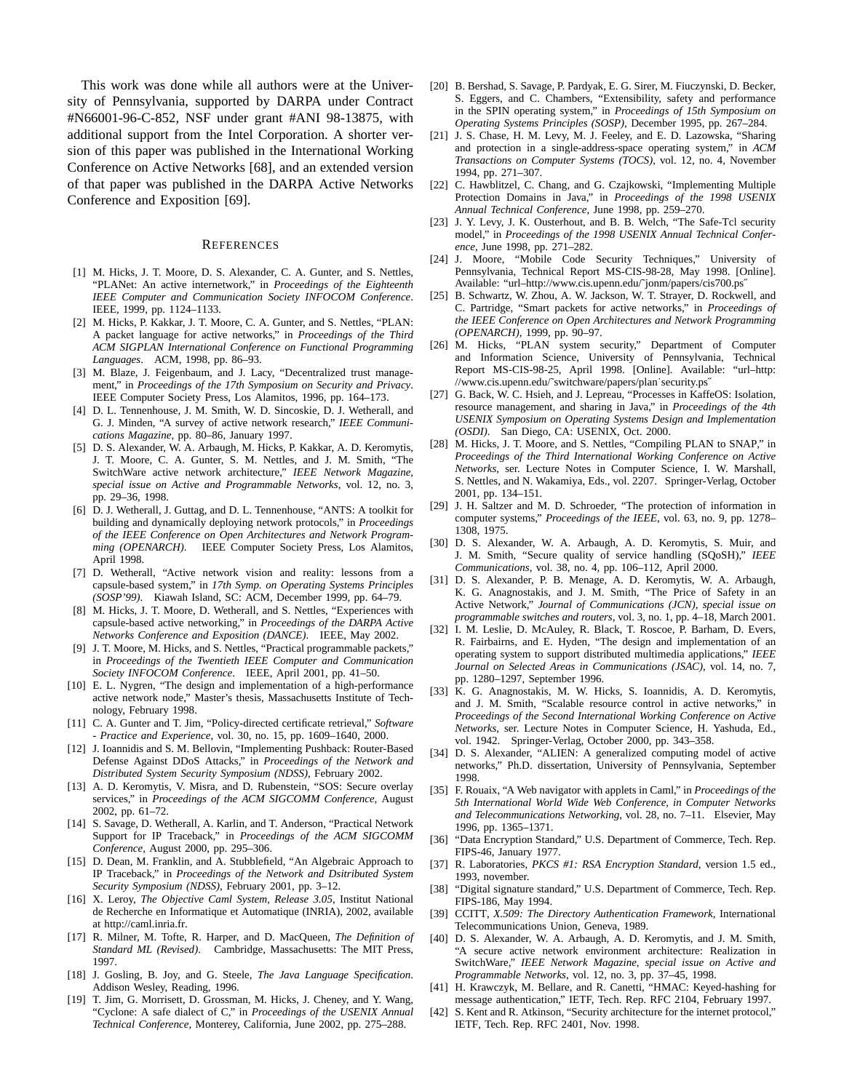This work was done while all authors were at the University of Pennsylvania, supported by DARPA under Contract #N66001-96-C-852, NSF under grant #ANI 98-13875, with additional support from the Intel Corporation. A shorter version of this paper was published in the International Working Conference on Active Networks [68], and an extended version of that paper was published in the DARPA Active Networks Conference and Exposition [69].

### **REFERENCES**

- [1] M. Hicks, J. T. Moore, D. S. Alexander, C. A. Gunter, and S. Nettles, "PLANet: An active internetwork," in *Proceedings of the Eighteenth IEEE Computer and Communication Society INFOCOM Conference*. IEEE, 1999, pp. 1124–1133.
- [2] M. Hicks, P. Kakkar, J. T. Moore, C. A. Gunter, and S. Nettles, "PLAN: A packet language for active networks," in *Proceedings of the Third ACM SIGPLAN International Conference on Functional Programming Languages*. ACM, 1998, pp. 86–93.
- [3] M. Blaze, J. Feigenbaum, and J. Lacy, "Decentralized trust management," in *Proceedings of the 17th Symposium on Security and Privacy*. IEEE Computer Society Press, Los Alamitos, 1996, pp. 164–173.
- [4] D. L. Tennenhouse, J. M. Smith, W. D. Sincoskie, D. J. Wetherall, and G. J. Minden, "A survey of active network research," *IEEE Communications Magazine*, pp. 80–86, January 1997.
- [5] D. S. Alexander, W. A. Arbaugh, M. Hicks, P. Kakkar, A. D. Keromytis, J. T. Moore, C. A. Gunter, S. M. Nettles, and J. M. Smith, "The SwitchWare active network architecture," *IEEE Network Magazine, special issue on Active and Programmable Networks*, vol. 12, no. 3, pp. 29–36, 1998.
- [6] D. J. Wetherall, J. Guttag, and D. L. Tennenhouse, "ANTS: A toolkit for building and dynamically deploying network protocols," in *Proceedings of the IEEE Conference on Open Architectures and Network Programming (OPENARCH)*. IEEE Computer Society Press, Los Alamitos, April 1998.
- [7] D. Wetherall, "Active network vision and reality: lessons from a capsule-based system," in *17th Symp. on Operating Systems Principles (SOSP'99)*. Kiawah Island, SC: ACM, December 1999, pp. 64–79.
- [8] M. Hicks, J. T. Moore, D. Wetherall, and S. Nettles, "Experiences with capsule-based active networking," in *Proceedings of the DARPA Active Networks Conference and Exposition (DANCE)*. IEEE, May 2002.
- [9] J. T. Moore, M. Hicks, and S. Nettles, "Practical programmable packets," in *Proceedings of the Twentieth IEEE Computer and Communication Society INFOCOM Conference*. IEEE, April 2001, pp. 41–50.
- [10] E. L. Nygren, "The design and implementation of a high-performance active network node," Master's thesis, Massachusetts Institute of Technology, February 1998.
- [11] C. A. Gunter and T. Jim, "Policy-directed certificate retrieval," *Software - Practice and Experience*, vol. 30, no. 15, pp. 1609–1640, 2000.
- [12] J. Ioannidis and S. M. Bellovin, "Implementing Pushback: Router-Based Defense Against DDoS Attacks," in *Proceedings of the Network and Distributed System Security Symposium (NDSS)*, February 2002.
- [13] A. D. Keromytis, V. Misra, and D. Rubenstein, "SOS: Secure overlay services," in *Proceedings of the ACM SIGCOMM Conference*, August 2002, pp. 61–72.
- [14] S. Savage, D. Wetherall, A. Karlin, and T. Anderson, "Practical Network Support for IP Traceback," in *Proceedings of the ACM SIGCOMM Conference*, August 2000, pp. 295–306.
- [15] D. Dean, M. Franklin, and A. Stubblefield, "An Algebraic Approach to IP Traceback," in *Proceedings of the Network and Dsitributed System Security Symposium (NDSS)*, February 2001, pp. 3–12.
- [16] X. Leroy, *The Objective Caml System, Release 3.05*, Institut National de Recherche en Informatique et Automatique (INRIA), 2002, available at http://caml.inria.fr.
- [17] R. Milner, M. Tofte, R. Harper, and D. MacQueen, *The Definition of Standard ML (Revised)*. Cambridge, Massachusetts: The MIT Press, 1997.
- [18] J. Gosling, B. Joy, and G. Steele, *The Java Language Specification*. Addison Wesley, Reading, 1996.
- [19] T. Jim, G. Morrisett, D. Grossman, M. Hicks, J. Cheney, and Y. Wang, "Cyclone: A safe dialect of C," in *Proceedings of the USENIX Annual Technical Conference*, Monterey, California, June 2002, pp. 275–288.
- [20] B. Bershad, S. Savage, P. Pardyak, E. G. Sirer, M. Fiuczynski, D. Becker, S. Eggers, and C. Chambers, "Extensibility, safety and performance in the SPIN operating system," in *Proceedings of 15th Symposium on Operating Systems Principles (SOSP)*, December 1995, pp. 267–284.
- [21] J. S. Chase, H. M. Levy, M. J. Feeley, and E. D. Lazowska, "Sharing and protection in a single-address-space operating system," in *ACM Transactions on Computer Systems (TOCS)*, vol. 12, no. 4, November 1994, pp. 271–307.
- [22] C. Hawblitzel, C. Chang, and G. Czajkowski, "Implementing Multiple Protection Domains in Java," in *Proceedings of the 1998 USENIX Annual Technical Conference*, June 1998, pp. 259–270.
- [23] J. Y. Levy, J. K. Ousterhout, and B. B. Welch, "The Safe-Tcl security model," in *Proceedings of the 1998 USENIX Annual Technical Conference*, June 1998, pp. 271–282.
- [24] J. Moore, "Mobile Code Security Techniques," University of Pennsylvania, Technical Report MS-CIS-98-28, May 1998. [Online]. Available: "url–http://www.cis.upenn.edu/˜jonm/papers/cis700.ps˝
- [25] B. Schwartz, W. Zhou, A. W. Jackson, W. T. Strayer, D. Rockwell, and C. Partridge, "Smart packets for active networks," in *Proceedings of the IEEE Conference on Open Architectures and Network Programming (OPENARCH)*, 1999, pp. 90–97.
- [26] M. Hicks, "PLAN system security," Department of Computer and Information Science, University of Pennsylvania, Technical Report MS-CIS-98-25, April 1998. [Online]. Available: "url–http: //www.cis.upenn.edu/˜switchware/papers/plan˙security.ps˝
- [27] G. Back, W. C. Hsieh, and J. Lepreau, "Processes in KaffeOS: Isolation, resource management, and sharing in Java," in *Proceedings of the 4th USENIX Symposium on Operating Systems Design and Implementation (OSDI)*. San Diego, CA: USENIX, Oct. 2000.
- [28] M. Hicks, J. T. Moore, and S. Nettles, "Compiling PLAN to SNAP," in *Proceedings of the Third International Working Conference on Active Networks*, ser. Lecture Notes in Computer Science, I. W. Marshall, S. Nettles, and N. Wakamiya, Eds., vol. 2207. Springer-Verlag, October 2001, pp. 134–151.
- [29] J. H. Saltzer and M. D. Schroeder, "The protection of information in computer systems," *Proceedings of the IEEE*, vol. 63, no. 9, pp. 1278– 1308, 1975.
- [30] D. S. Alexander, W. A. Arbaugh, A. D. Keromytis, S. Muir, and J. M. Smith, "Secure quality of service handling (SQoSH)," *IEEE Communications*, vol. 38, no. 4, pp. 106–112, April 2000.
- [31] D. S. Alexander, P. B. Menage, A. D. Keromytis, W. A. Arbaugh, K. G. Anagnostakis, and J. M. Smith, "The Price of Safety in an Active Network," *Journal of Communications (JCN), special issue on programmable switches and routers*, vol. 3, no. 1, pp. 4–18, March 2001.
- [32] I. M. Leslie, D. McAuley, R. Black, T. Roscoe, P. Barham, D. Evers, R. Fairbairns, and E. Hyden, "The design and implementation of an operating system to support distributed multimedia applications," *IEEE Journal on Selected Areas in Communications (JSAC)*, vol. 14, no. 7, pp. 1280–1297, September 1996.
- [33] K. G. Anagnostakis, M. W. Hicks, S. Ioannidis, A. D. Keromytis, and J. M. Smith, "Scalable resource control in active networks," in *Proceedings of the Second International Working Conference on Active Networks*, ser. Lecture Notes in Computer Science, H. Yashuda, Ed., vol. 1942. Springer-Verlag, October 2000, pp. 343–358.
- [34] D. S. Alexander, "ALIEN: A generalized computing model of active networks," Ph.D. dissertation, University of Pennsylvania, September 1998.
- [35] F. Rouaix, "A Web navigator with applets in Caml," in *Proceedings of the 5th International World Wide Web Conference, in Computer Networks and Telecommunications Networking*, vol. 28, no. 7–11. Elsevier, May 1996, pp. 1365–1371.
- [36] "Data Encryption Standard," U.S. Department of Commerce, Tech. Rep. FIPS-46, January 1977.
- [37] R. Laboratories, *PKCS #1: RSA Encryption Standard*, version 1.5 ed., 1993, november.
- [38] "Digital signature standard," U.S. Department of Commerce, Tech. Rep. FIPS-186, May 1994.
- [39] CCITT, *X.509: The Directory Authentication Framework*, International Telecommunications Union, Geneva, 1989.
- [40] D. S. Alexander, W. A. Arbaugh, A. D. Keromytis, and J. M. Smith, "A secure active network environment architecture: Realization in SwitchWare," *IEEE Network Magazine, special issue on Active and Programmable Networks*, vol. 12, no. 3, pp. 37–45, 1998.
- [41] H. Krawczyk, M. Bellare, and R. Canetti, "HMAC: Keyed-hashing for message authentication," IETF, Tech. Rep. RFC 2104, February 1997.
- [42] S. Kent and R. Atkinson, "Security architecture for the internet protocol," IETF, Tech. Rep. RFC 2401, Nov. 1998.